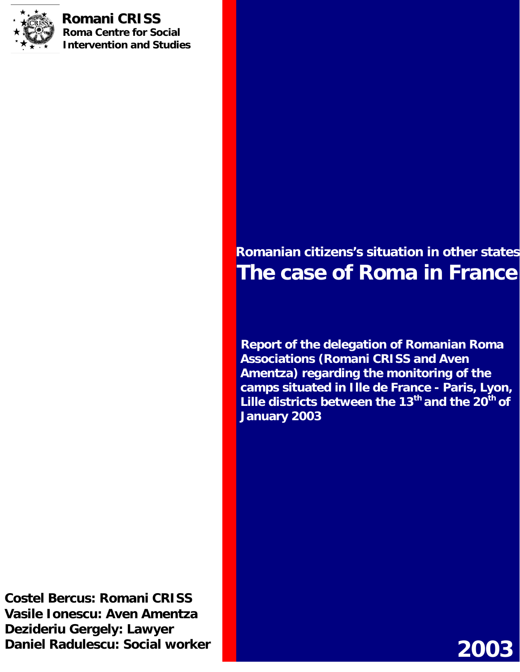

 **Romani CRISS Roma Centre for Social Intervention and Studies**

# **Romanian citizens's situation in other states The case of Roma in France**

**Report of the delegation of Romanian Roma Associations (Romani CRISS and Aven Amentza) regarding the monitoring of the camps situated in Ille de France - Paris, Lyon,** Lille districts between the 13<sup>th</sup> and the 20<sup>th</sup> of **January 2003** 

**Costel Bercus: Romani CRISS Vasile Ionescu: Aven Amentza Vasile Ionescu: Aven Amentzaely: Dezideriu Gergely: Lawyer Avocat Daniel Radulescu: Social workerCostel Bercus: Romani CRISS**

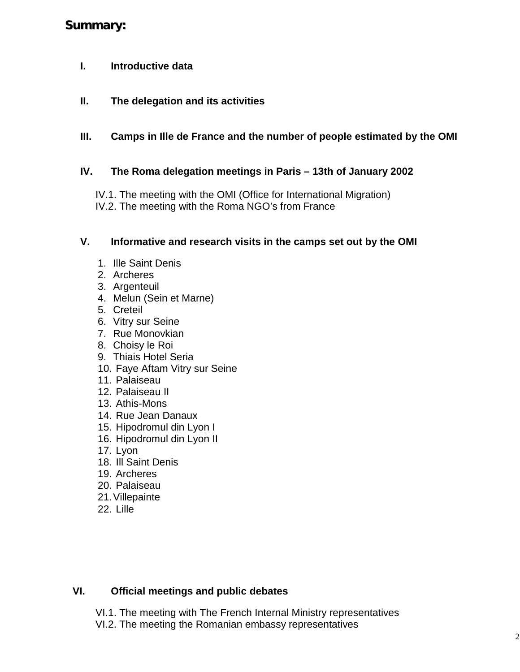## **Summary:**

- **I. Introductive data**
- **II. The delegation and its activities**

## **III. Camps in Ille de France and the number of people estimated by the OMI**

## **IV. The Roma delegation meetings in Paris – 13th of January 2002**

IV.1. The meeting with the OMI (Office for International Migration) IV.2. The meeting with the Roma NGO's from France

## **V. Informative and research visits in the camps set out by the OMI**

- 1. Ille Saint Denis
- 2. Archeres
- 3. Argenteuil
- 4. Melun (Sein et Marne)
- 5. Creteil
- 6. Vitry sur Seine
- 7. Rue Monovkian
- 8. Choisy le Roi
- 9. Thiais Hotel Seria
- 10. Faye Aftam Vitry sur Seine
- 11. Palaiseau
- 12. Palaiseau II
- 13. Athis-Mons
- 14. Rue Jean Danaux
- 15. Hipodromul din Lyon I
- 16. Hipodromul din Lyon II
- 17. Lyon
- 18. Ill Saint Denis
- 19. Archeres
- 20. Palaiseau
- 21.Villepainte
- 22. Lille

## **VI. Official meetings and public debates**

VI.1. The meeting with The French Internal Ministry representatives

VI.2. The meeting the Romanian embassy representatives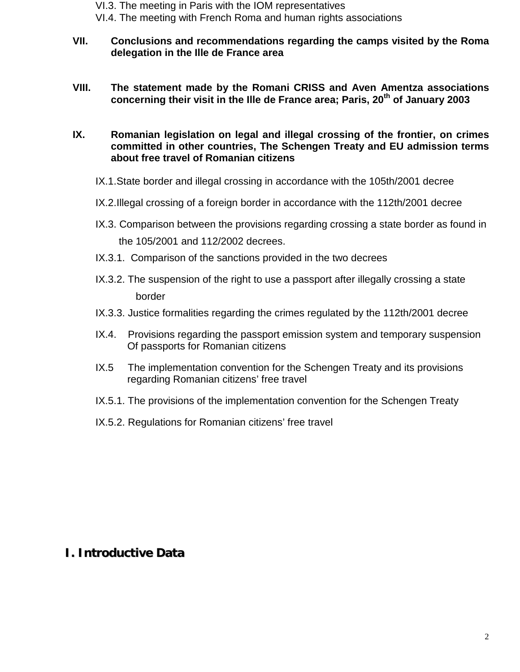VI.3. The meeting in Paris with the IOM representatives VI.4. The meeting with French Roma and human rights associations

- **VII. Conclusions and recommendations regarding the camps visited by the Roma delegation in the Ille de France area**
- **VIII. The statement made by the Romani CRISS and Aven Amentza associations concerning their visit in the Ille de France area; Paris, 20th of January 2003**

#### **IX. Romanian legislation on legal and illegal crossing of the frontier, on crimes committed in other countries, The Schengen Treaty and EU admission terms about free travel of Romanian citizens**

- IX.1.State border and illegal crossing in accordance with the 105th/2001 decree
- IX.2.Illegal crossing of a foreign border in accordance with the 112th/2001 decree
- IX.3. Comparison between the provisions regarding crossing a state border as found in the 105/2001 and 112/2002 decrees.
- IX.3.1. Comparison of the sanctions provided in the two decrees
- IX.3.2. The suspension of the right to use a passport after illegally crossing a state border
- IX.3.3. Justice formalities regarding the crimes regulated by the 112th/2001 decree
- IX.4. Provisions regarding the passport emission system and temporary suspension Of passports for Romanian citizens
- IX.5 The implementation convention for the Schengen Treaty and its provisions regarding Romanian citizens' free travel
- IX.5.1. The provisions of the implementation convention for the Schengen Treaty
- IX.5.2. Regulations for Romanian citizens' free travel

## **I. Introductive Data**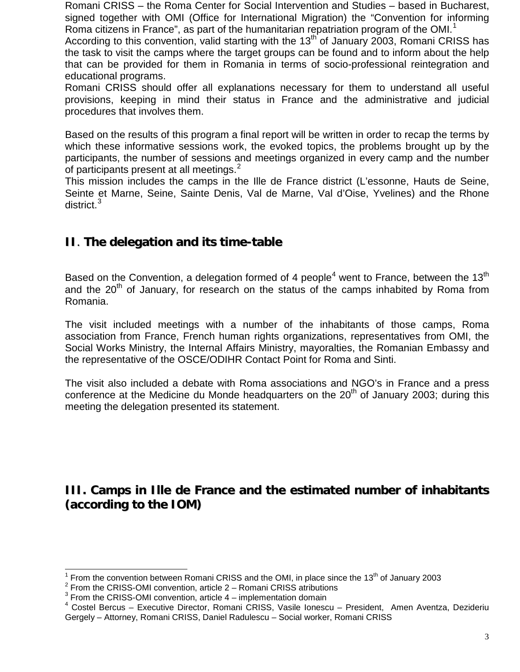Romani CRISS – the Roma Center for Social Intervention and Studies – based in Bucharest, signed together with OMI (Office for International Migration) the "Convention for informing Roma citizens in France", as part of the humanitarian repatriation program of the OMI.<sup>[1](#page-3-0)</sup>

According to this convention, valid starting with the  $13<sup>th</sup>$  of January 2003, Romani CRISS has the task to visit the camps where the target groups can be found and to inform about the help that can be provided for them in Romania in terms of socio-professional reintegration and educational programs.

Romani CRISS should offer all explanations necessary for them to understand all useful provisions, keeping in mind their status in France and the administrative and judicial procedures that involves them.

Based on the results of this program a final report will be written in order to recap the terms by which these informative sessions work, the evoked topics, the problems brought up by the participants, the number of sessions and meetings organized in every camp and the number of participants present at all meetings.<sup>[2](#page-3-1)</sup>

This mission includes the camps in the Ille de France district (L'essonne, Hauts de Seine, Seinte et Marne, Seine, Sainte Denis, Val de Marne, Val d'Oise, Yvelines) and the Rhone district.<sup>[3](#page-3-2)</sup>

# **II**. **The delegation and its time-table**

Based on the Convention, a delegation formed of [4](#page-3-3) people<sup>4</sup> went to France, between the 13<sup>th</sup> and the 20<sup>th</sup> of January, for research on the status of the camps inhabited by Roma from Romania.

The visit included meetings with a number of the inhabitants of those camps, Roma association from France, French human rights organizations, representatives from OMI, the Social Works Ministry, the Internal Affairs Ministry, mayoralties, the Romanian Embassy and the representative of the OSCE/ODIHR Contact Point for Roma and Sinti.

The visit also included a debate with Roma associations and NGO's in France and a press conference at the Medicine du Monde headquarters on the  $20<sup>th</sup>$  of January 2003; during this meeting the delegation presented its statement.

# **III. Camps in Ille de France and the estimated number of inhabitants (according to the IOM)**

<span id="page-3-1"></span><span id="page-3-0"></span><sup>&</sup>lt;sup>1</sup> From the convention between Romani CRISS and the OMI, in place since the 13<sup>th</sup> of January 2003 <sup>2</sup> From the CRISS-OMI convention, article 2 – Romani CRISS atributions<br><sup>3</sup> From the CRISS-OMI convention, article 4 – im

<span id="page-3-3"></span><span id="page-3-2"></span> $4$  Costel Bercus – Executive Director, Romani CRISS, Vasile Ionescu – President, Amen Aventza, Dezideriu Gergely – Attorney, Romani CRISS, Daniel Radulescu – Social worker, Romani CRISS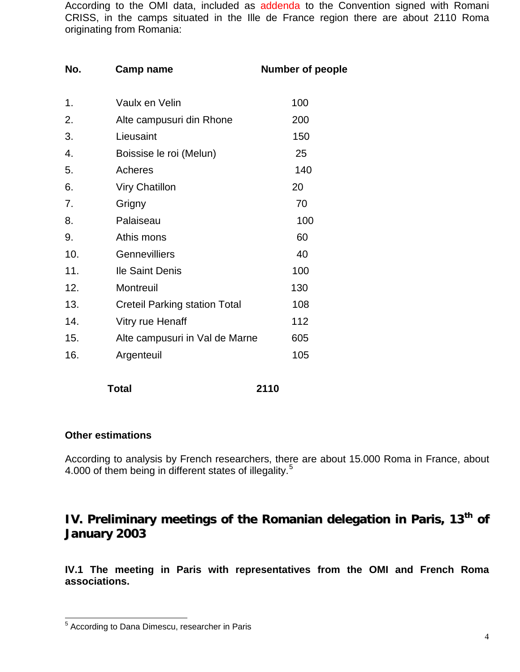According to the OMI data, included as addenda to the Convention signed with Romani CRISS, in the camps situated in the Ille de France region there are about 2110 Roma originating from Romania:

| No. | Camp name                            | <b>Number of people</b> |
|-----|--------------------------------------|-------------------------|
| 1.  | Vaulx en Velin                       | 100                     |
| 2.  | Alte campusuri din Rhone             | 200                     |
| 3.  | Lieusaint                            | 150                     |
| 4.  | Boissise le roi (Melun)              | 25                      |
| 5.  | Acheres                              | 140                     |
| 6.  | <b>Viry Chatillon</b>                | 20                      |
| 7.  | Grigny                               | 70                      |
| 8.  | Palaiseau                            | 100                     |
| 9.  | Athis mons                           | 60                      |
| 10. | <b>Gennevilliers</b>                 | 40                      |
| 11. | Ile Saint Denis                      | 100                     |
| 12. | Montreuil                            | 130                     |
| 13. | <b>Creteil Parking station Total</b> | 108                     |
| 14. | Vitry rue Henaff                     | 112                     |
| 15. | Alte campusuri in Val de Marne       | 605                     |
| 16. | Argenteuil                           | 105                     |
|     |                                      |                         |

**Total 2110**

#### **Other estimations**

According to analysis by French researchers, there are about 15.000 Roma in France, about 4.000 of them being in different states of illegality.<sup>[5](#page-4-0)</sup>

# **IV. Preliminary meetings of the Romanian delegation in Paris, 13th of January 2003**

**IV.1 The meeting in Paris with representatives from the OMI and French Roma associations.**

<span id="page-4-0"></span><sup>5</sup> According to Dana Dimescu, researcher in Paris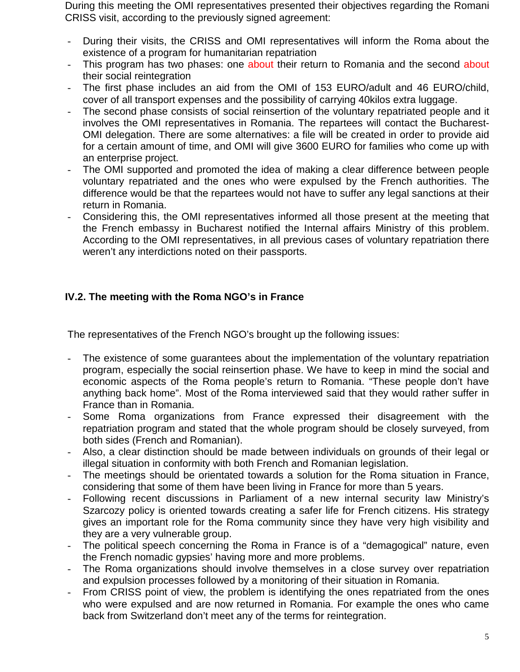During this meeting the OMI representatives presented their objectives regarding the Romani CRISS visit, according to the previously signed agreement:

- During their visits, the CRISS and OMI representatives will inform the Roma about the existence of a program for humanitarian repatriation
- This program has two phases: one about their return to Romania and the second about their social reintegration
- The first phase includes an aid from the OMI of 153 EURO/adult and 46 EURO/child, cover of all transport expenses and the possibility of carrying 40kilos extra luggage.
- The second phase consists of social reinsertion of the voluntary repatriated people and it involves the OMI representatives in Romania. The repartees will contact the Bucharest-OMI delegation. There are some alternatives: a file will be created in order to provide aid for a certain amount of time, and OMI will give 3600 EURO for families who come up with an enterprise project.
- The OMI supported and promoted the idea of making a clear difference between people voluntary repatriated and the ones who were expulsed by the French authorities. The difference would be that the repartees would not have to suffer any legal sanctions at their return in Romania.
- Considering this, the OMI representatives informed all those present at the meeting that the French embassy in Bucharest notified the Internal affairs Ministry of this problem. According to the OMI representatives, in all previous cases of voluntary repatriation there weren't any interdictions noted on their passports.

## **IV.2. The meeting with the Roma NGO's in France**

The representatives of the French NGO's brought up the following issues:

- The existence of some guarantees about the implementation of the voluntary repatriation program, especially the social reinsertion phase. We have to keep in mind the social and economic aspects of the Roma people's return to Romania. "These people don't have anything back home". Most of the Roma interviewed said that they would rather suffer in France than in Romania.
- Some Roma organizations from France expressed their disagreement with the repatriation program and stated that the whole program should be closely surveyed, from both sides (French and Romanian).
- Also, a clear distinction should be made between individuals on grounds of their legal or illegal situation in conformity with both French and Romanian legislation.
- The meetings should be orientated towards a solution for the Roma situation in France, considering that some of them have been living in France for more than 5 years.
- Following recent discussions in Parliament of a new internal security law Ministry's Szarcozy policy is oriented towards creating a safer life for French citizens. His strategy gives an important role for the Roma community since they have very high visibility and they are a very vulnerable group.
- The political speech concerning the Roma in France is of a "demagogical" nature, even the French nomadic gypsies' having more and more problems.
- The Roma organizations should involve themselves in a close survey over repatriation and expulsion processes followed by a monitoring of their situation in Romania.
- From CRISS point of view, the problem is identifying the ones repatriated from the ones who were expulsed and are now returned in Romania. For example the ones who came back from Switzerland don't meet any of the terms for reintegration.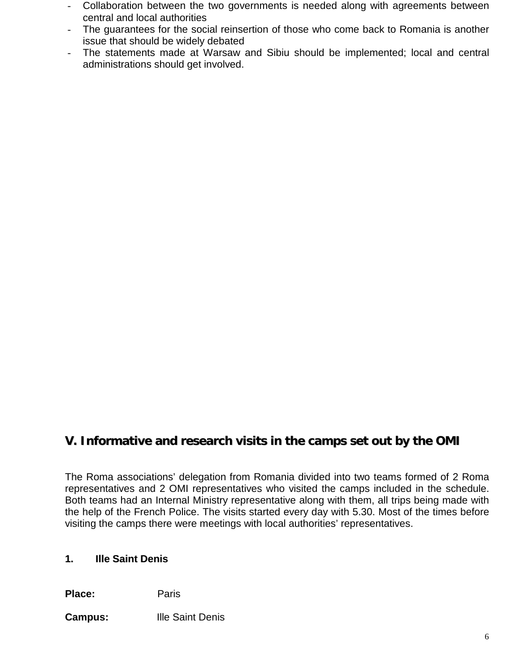- Collaboration between the two governments is needed along with agreements between central and local authorities
- The guarantees for the social reinsertion of those who come back to Romania is another issue that should be widely debated
- The statements made at Warsaw and Sibiu should be implemented; local and central administrations should get involved.

# **V. Informative and research visits in the camps set out by the OMI**

The Roma associations' delegation from Romania divided into two teams formed of 2 Roma representatives and 2 OMI representatives who visited the camps included in the schedule. Both teams had an Internal Ministry representative along with them, all trips being made with the help of the French Police. The visits started every day with 5.30. Most of the times before visiting the camps there were meetings with local authorities' representatives.

#### **1. Ille Saint Denis**

Place: Paris

**Campus:** Ille Saint Denis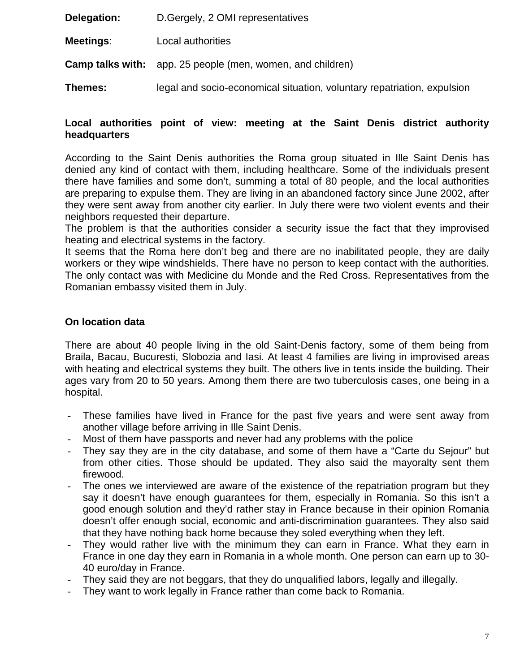**Delegation:** D.Gergely, 2 OMI representatives

**Meetings**: Local authorities

**Camp talks with:** app. 25 people (men, women, and children)

**Themes:** legal and socio-economical situation, voluntary repatriation, expulsion

#### **Local authorities point of view: meeting at the Saint Denis district authority headquarters**

According to the Saint Denis authorities the Roma group situated in Ille Saint Denis has denied any kind of contact with them, including healthcare. Some of the individuals present there have families and some don't, summing a total of 80 people, and the local authorities are preparing to expulse them. They are living in an abandoned factory since June 2002, after they were sent away from another city earlier. In July there were two violent events and their neighbors requested their departure.

The problem is that the authorities consider a security issue the fact that they improvised heating and electrical systems in the factory.

It seems that the Roma here don't beg and there are no inabilitated people, they are daily workers or they wipe windshields. There have no person to keep contact with the authorities. The only contact was with Medicine du Monde and the Red Cross. Representatives from the Romanian embassy visited them in July.

## **On location data**

There are about 40 people living in the old Saint-Denis factory, some of them being from Braila, Bacau, Bucuresti, Slobozia and Iasi. At least 4 families are living in improvised areas with heating and electrical systems they built. The others live in tents inside the building. Their ages vary from 20 to 50 years. Among them there are two tuberculosis cases, one being in a hospital.

- These families have lived in France for the past five years and were sent away from another village before arriving in Ille Saint Denis.
- Most of them have passports and never had any problems with the police
- They say they are in the city database, and some of them have a "Carte du Sejour" but from other cities. Those should be updated. They also said the mayoralty sent them firewood.
- The ones we interviewed are aware of the existence of the repatriation program but they say it doesn't have enough guarantees for them, especially in Romania. So this isn't a good enough solution and they'd rather stay in France because in their opinion Romania doesn't offer enough social, economic and anti-discrimination guarantees. They also said that they have nothing back home because they soled everything when they left.
- They would rather live with the minimum they can earn in France. What they earn in France in one day they earn in Romania in a whole month. One person can earn up to 30- 40 euro/day in France.
- They said they are not beggars, that they do unqualified labors, legally and illegally.
- They want to work legally in France rather than come back to Romania.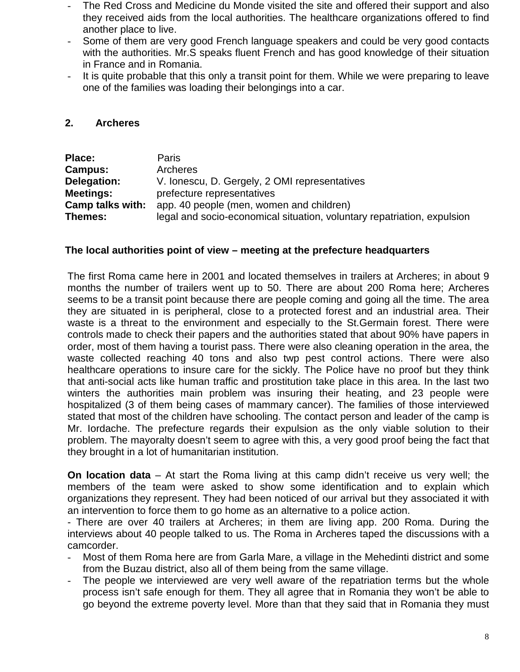- The Red Cross and Medicine du Monde visited the site and offered their support and also they received aids from the local authorities. The healthcare organizations offered to find another place to live.
- Some of them are very good French language speakers and could be very good contacts with the authorities. Mr.S speaks fluent French and has good knowledge of their situation in France and in Romania.
- It is quite probable that this only a transit point for them. While we were preparing to leave one of the families was loading their belongings into a car.

#### **2. Archeres**

| Place:           | Paris                                                                   |
|------------------|-------------------------------------------------------------------------|
| Campus:          | Archeres                                                                |
| Delegation:      | V. Ionescu, D. Gergely, 2 OMI representatives                           |
| <b>Meetings:</b> | prefecture representatives                                              |
| Camp talks with: | app. 40 people (men, women and children)                                |
| Themes:          | legal and socio-economical situation, voluntary repatriation, expulsion |

#### **The local authorities point of view – meeting at the prefecture headquarters**

The first Roma came here in 2001 and located themselves in trailers at Archeres; in about 9 months the number of trailers went up to 50. There are about 200 Roma here; Archeres seems to be a transit point because there are people coming and going all the time. The area they are situated in is peripheral, close to a protected forest and an industrial area. Their waste is a threat to the environment and especially to the St.Germain forest. There were controls made to check their papers and the authorities stated that about 90% have papers in order, most of them having a tourist pass. There were also cleaning operation in the area, the waste collected reaching 40 tons and also twp pest control actions. There were also healthcare operations to insure care for the sickly. The Police have no proof but they think that anti-social acts like human traffic and prostitution take place in this area. In the last two winters the authorities main problem was insuring their heating, and 23 people were hospitalized (3 of them being cases of mammary cancer). The families of those interviewed stated that most of the children have schooling. The contact person and leader of the camp is Mr. Iordache. The prefecture regards their expulsion as the only viable solution to their problem. The mayoralty doesn't seem to agree with this, a very good proof being the fact that they brought in a lot of humanitarian institution.

**On location data** – At start the Roma living at this camp didn't receive us very well; the members of the team were asked to show some identification and to explain which organizations they represent. They had been noticed of our arrival but they associated it with an intervention to force them to go home as an alternative to a police action.

- There are over 40 trailers at Archeres; in them are living app. 200 Roma. During the interviews about 40 people talked to us. The Roma in Archeres taped the discussions with a camcorder.

- Most of them Roma here are from Garla Mare, a village in the Mehedinti district and some from the Buzau district, also all of them being from the same village.
- The people we interviewed are very well aware of the repatriation terms but the whole process isn't safe enough for them. They all agree that in Romania they won't be able to go beyond the extreme poverty level. More than that they said that in Romania they must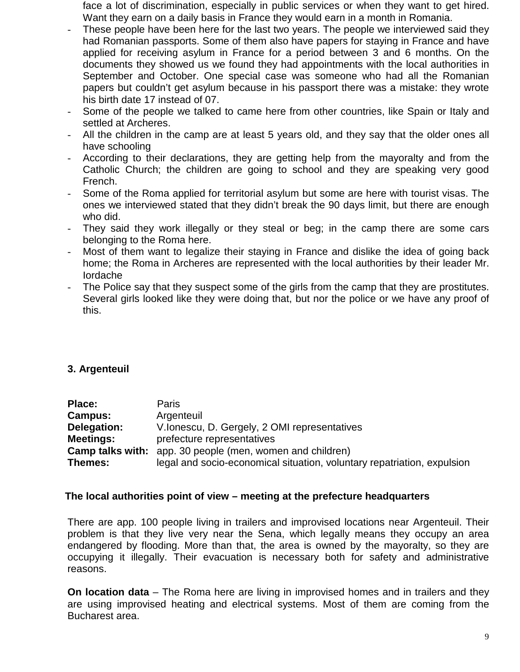face a lot of discrimination, especially in public services or when they want to get hired. Want they earn on a daily basis in France they would earn in a month in Romania.

- These people have been here for the last two years. The people we interviewed said they had Romanian passports. Some of them also have papers for staying in France and have applied for receiving asylum in France for a period between 3 and 6 months. On the documents they showed us we found they had appointments with the local authorities in September and October. One special case was someone who had all the Romanian papers but couldn't get asylum because in his passport there was a mistake: they wrote his birth date 17 instead of 07.
- Some of the people we talked to came here from other countries, like Spain or Italy and settled at Archeres.
- All the children in the camp are at least 5 years old, and they say that the older ones all have schooling
- According to their declarations, they are getting help from the mayoralty and from the Catholic Church; the children are going to school and they are speaking very good French.
- Some of the Roma applied for territorial asylum but some are here with tourist visas. The ones we interviewed stated that they didn't break the 90 days limit, but there are enough who did.
- They said they work illegally or they steal or beg; in the camp there are some cars belonging to the Roma here.
- Most of them want to legalize their staying in France and dislike the idea of going back home; the Roma in Archeres are represented with the local authorities by their leader Mr. Iordache
- The Police say that they suspect some of the girls from the camp that they are prostitutes. Several girls looked like they were doing that, but nor the police or we have any proof of this.

## **3. Argenteuil**

| <b>Place:</b>    | Paris                                                                   |
|------------------|-------------------------------------------------------------------------|
| <b>Campus:</b>   | Argenteuil                                                              |
| Delegation:      | V. lonescu, D. Gergely, 2 OMI representatives                           |
| <b>Meetings:</b> | prefecture representatives                                              |
|                  | <b>Camp talks with:</b> app. 30 people (men, women and children)        |
| Themes:          | legal and socio-economical situation, voluntary repatriation, expulsion |

#### **The local authorities point of view – meeting at the prefecture headquarters**

There are app. 100 people living in trailers and improvised locations near Argenteuil. Their problem is that they live very near the Sena, which legally means they occupy an area endangered by flooding. More than that, the area is owned by the mayoralty, so they are occupying it illegally. Their evacuation is necessary both for safety and administrative reasons.

**On location data** – The Roma here are living in improvised homes and in trailers and they are using improvised heating and electrical systems. Most of them are coming from the Bucharest area.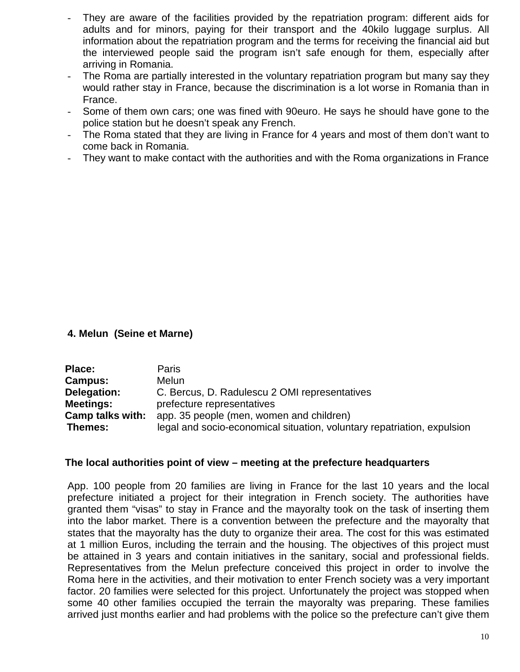- They are aware of the facilities provided by the repatriation program: different aids for adults and for minors, paying for their transport and the 40kilo luggage surplus. All information about the repatriation program and the terms for receiving the financial aid but the interviewed people said the program isn't safe enough for them, especially after arriving in Romania.
- The Roma are partially interested in the voluntary repatriation program but many say they would rather stay in France, because the discrimination is a lot worse in Romania than in France.
- Some of them own cars; one was fined with 90euro. He says he should have gone to the police station but he doesn't speak any French.
- The Roma stated that they are living in France for 4 years and most of them don't want to come back in Romania.
- They want to make contact with the authorities and with the Roma organizations in France

#### **4. Melun (Seine et Marne)**

| <b>Paris</b>                                                            |
|-------------------------------------------------------------------------|
| Melun                                                                   |
| C. Bercus, D. Radulescu 2 OMI representatives                           |
| prefecture representatives                                              |
| app. 35 people (men, women and children)                                |
| legal and socio-economical situation, voluntary repatriation, expulsion |
|                                                                         |

#### **The local authorities point of view – meeting at the prefecture headquarters**

App. 100 people from 20 families are living in France for the last 10 years and the local prefecture initiated a project for their integration in French society. The authorities have granted them "visas" to stay in France and the mayoralty took on the task of inserting them into the labor market. There is a convention between the prefecture and the mayoralty that states that the mayoralty has the duty to organize their area. The cost for this was estimated at 1 million Euros, including the terrain and the housing. The objectives of this project must be attained in 3 years and contain initiatives in the sanitary, social and professional fields. Representatives from the Melun prefecture conceived this project in order to involve the Roma here in the activities, and their motivation to enter French society was a very important factor. 20 families were selected for this project. Unfortunately the project was stopped when some 40 other families occupied the terrain the mayoralty was preparing. These families arrived just months earlier and had problems with the police so the prefecture can't give them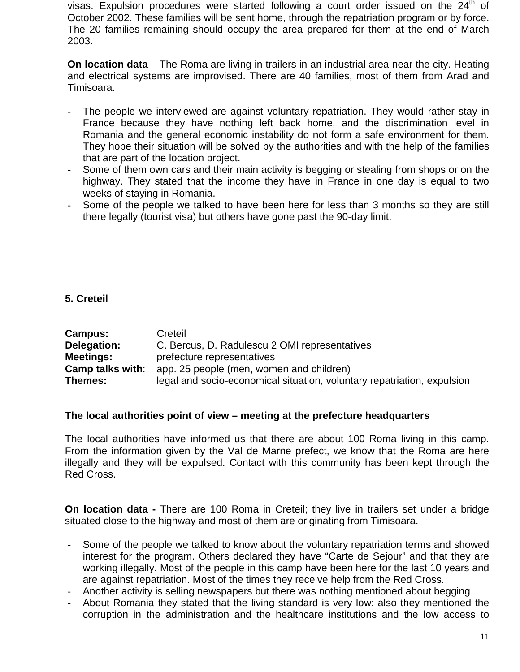visas. Expulsion procedures were started following a court order issued on the  $24^{\text{th}}$  of October 2002. These families will be sent home, through the repatriation program or by force. The 20 families remaining should occupy the area prepared for them at the end of March 2003.

**On location data** – The Roma are living in trailers in an industrial area near the city. Heating and electrical systems are improvised. There are 40 families, most of them from Arad and Timisoara.

- The people we interviewed are against voluntary repatriation. They would rather stay in France because they have nothing left back home, and the discrimination level in Romania and the general economic instability do not form a safe environment for them. They hope their situation will be solved by the authorities and with the help of the families that are part of the location project.
- Some of them own cars and their main activity is begging or stealing from shops or on the highway. They stated that the income they have in France in one day is equal to two weeks of staying in Romania.
- Some of the people we talked to have been here for less than 3 months so they are still there legally (tourist visa) but others have gone past the 90-day limit.

**5. Creteil**

| <b>Campus:</b>   | Creteil                                                                 |
|------------------|-------------------------------------------------------------------------|
| Delegation:      | C. Bercus, D. Radulescu 2 OMI representatives                           |
| <b>Meetings:</b> | prefecture representatives                                              |
| Camp talks with: | app. 25 people (men, women and children)                                |
| Themes:          | legal and socio-economical situation, voluntary repatriation, expulsion |

#### **The local authorities point of view – meeting at the prefecture headquarters**

The local authorities have informed us that there are about 100 Roma living in this camp. From the information given by the Val de Marne prefect, we know that the Roma are here illegally and they will be expulsed. Contact with this community has been kept through the Red Cross.

**On location data -** There are 100 Roma in Creteil; they live in trailers set under a bridge situated close to the highway and most of them are originating from Timisoara.

- Some of the people we talked to know about the voluntary repatriation terms and showed interest for the program. Others declared they have "Carte de Sejour" and that they are working illegally. Most of the people in this camp have been here for the last 10 years and are against repatriation. Most of the times they receive help from the Red Cross.
- Another activity is selling newspapers but there was nothing mentioned about begging
- About Romania they stated that the living standard is very low; also they mentioned the corruption in the administration and the healthcare institutions and the low access to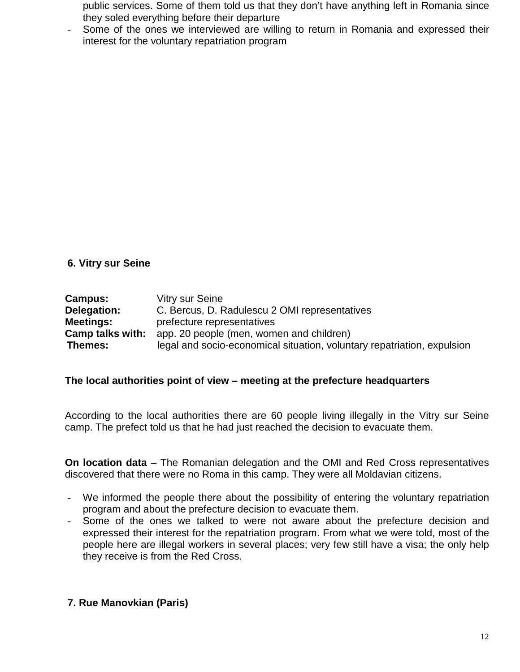public services. Some of them told us that they don't have anything left in Romania since they soled everything before their departure

Some of the ones we interviewed are willing to return in Romania and expressed their interest for the voluntary repatriation program

## **6. Vitry sur Seine**

| <b>Campus:</b>          | Vitry sur Seine                                                         |
|-------------------------|-------------------------------------------------------------------------|
| Delegation:             | C. Bercus, D. Radulescu 2 OMI representatives                           |
| <b>Meetings:</b>        | prefecture representatives                                              |
| <b>Camp talks with:</b> | app. 20 people (men, women and children)                                |
| Themes:                 | legal and socio-economical situation, voluntary repatriation, expulsion |

#### **The local authorities point of view – meeting at the prefecture headquarters**

According to the local authorities there are 60 people living illegally in the Vitry sur Seine camp. The prefect told us that he had just reached the decision to evacuate them.

**On location data** – The Romanian delegation and the OMI and Red Cross representatives discovered that there were no Roma in this camp. They were all Moldavian citizens.

- We informed the people there about the possibility of entering the voluntary repatriation program and about the prefecture decision to evacuate them.
- Some of the ones we talked to were not aware about the prefecture decision and expressed their interest for the repatriation program. From what we were told, most of the people here are illegal workers in several places; very few still have a visa; the only help they receive is from the Red Cross.

#### **7. Rue Manovkian (Paris)**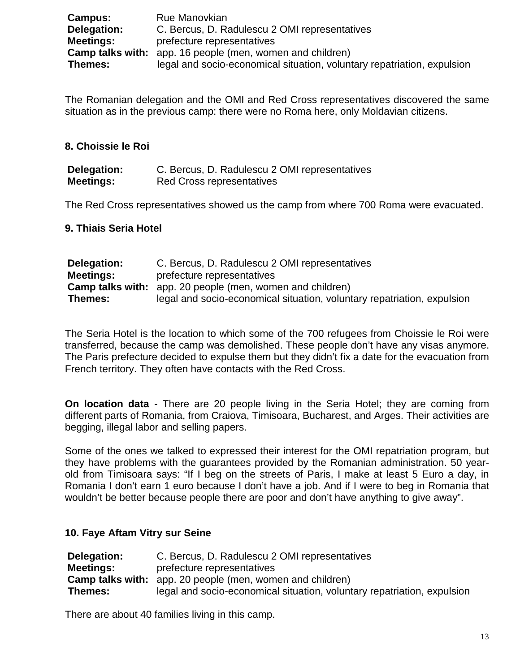| <b>Campus:</b>   | Rue Manovkian                                                           |
|------------------|-------------------------------------------------------------------------|
| Delegation:      | C. Bercus, D. Radulescu 2 OMI representatives                           |
| <b>Meetings:</b> | prefecture representatives                                              |
|                  | <b>Camp talks with:</b> app. 16 people (men, women and children)        |
| <b>Themes:</b>   | legal and socio-economical situation, voluntary repatriation, expulsion |

The Romanian delegation and the OMI and Red Cross representatives discovered the same situation as in the previous camp: there were no Roma here, only Moldavian citizens.

#### **8. Choissie le Roi**

| Delegation:      | C. Bercus, D. Radulescu 2 OMI representatives |
|------------------|-----------------------------------------------|
| <b>Meetings:</b> | Red Cross representatives                     |

The Red Cross representatives showed us the camp from where 700 Roma were evacuated.

#### **9. Thiais Seria Hotel**

| Delegation:      | C. Bercus, D. Radulescu 2 OMI representatives                           |
|------------------|-------------------------------------------------------------------------|
| <b>Meetings:</b> | prefecture representatives                                              |
|                  | <b>Camp talks with:</b> app. 20 people (men, women and children)        |
| Themes:          | legal and socio-economical situation, voluntary repatriation, expulsion |

The Seria Hotel is the location to which some of the 700 refugees from Choissie le Roi were transferred, because the camp was demolished. These people don't have any visas anymore. The Paris prefecture decided to expulse them but they didn't fix a date for the evacuation from French territory. They often have contacts with the Red Cross.

**On location data** - There are 20 people living in the Seria Hotel; they are coming from different parts of Romania, from Craiova, Timisoara, Bucharest, and Arges. Their activities are begging, illegal labor and selling papers.

Some of the ones we talked to expressed their interest for the OMI repatriation program, but they have problems with the guarantees provided by the Romanian administration. 50 yearold from Timisoara says: "If I beg on the streets of Paris, I make at least 5 Euro a day, in Romania I don't earn 1 euro because I don't have a job. And if I were to beg in Romania that wouldn't be better because people there are poor and don't have anything to give away".

#### **10. Faye Aftam Vitry sur Seine**

| Delegation:      | C. Bercus, D. Radulescu 2 OMI representatives                           |
|------------------|-------------------------------------------------------------------------|
| <b>Meetings:</b> | prefecture representatives                                              |
|                  | <b>Camp talks with:</b> app. 20 people (men, women and children)        |
| Themes:          | legal and socio-economical situation, voluntary repatriation, expulsion |

There are about 40 families living in this camp.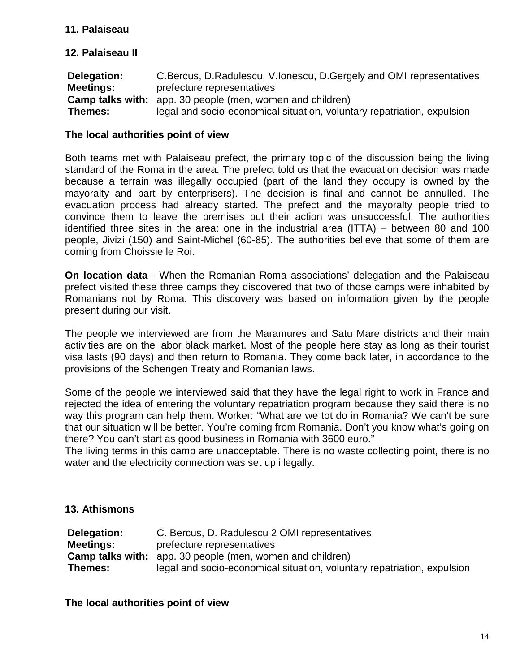## **11. Palaiseau**

#### **12. Palaiseau II**

| Delegation:      | C. Bercus, D. Radulescu, V. Ionescu, D. Gergely and OMI representatives |
|------------------|-------------------------------------------------------------------------|
| <b>Meetings:</b> | prefecture representatives                                              |
|                  | <b>Camp talks with:</b> app. 30 people (men, women and children)        |
| Themes:          | legal and socio-economical situation, voluntary repatriation, expulsion |

#### **The local authorities point of view**

Both teams met with Palaiseau prefect, the primary topic of the discussion being the living standard of the Roma in the area. The prefect told us that the evacuation decision was made because a terrain was illegally occupied (part of the land they occupy is owned by the mayoralty and part by enterprisers). The decision is final and cannot be annulled. The evacuation process had already started. The prefect and the mayoralty people tried to convince them to leave the premises but their action was unsuccessful. The authorities identified three sites in the area: one in the industrial area (ITTA) – between 80 and 100 people, Jivizi (150) and Saint-Michel (60-85). The authorities believe that some of them are coming from Choissie le Roi.

**On location data** - When the Romanian Roma associations' delegation and the Palaiseau prefect visited these three camps they discovered that two of those camps were inhabited by Romanians not by Roma. This discovery was based on information given by the people present during our visit.

The people we interviewed are from the Maramures and Satu Mare districts and their main activities are on the labor black market. Most of the people here stay as long as their tourist visa lasts (90 days) and then return to Romania. They come back later, in accordance to the provisions of the Schengen Treaty and Romanian laws.

Some of the people we interviewed said that they have the legal right to work in France and rejected the idea of entering the voluntary repatriation program because they said there is no way this program can help them. Worker: "What are we tot do in Romania? We can't be sure that our situation will be better. You're coming from Romania. Don't you know what's going on there? You can't start as good business in Romania with 3600 euro."

The living terms in this camp are unacceptable. There is no waste collecting point, there is no water and the electricity connection was set up illegally.

#### **13. Athismons**

| Delegation:      | C. Bercus, D. Radulescu 2 OMI representatives                           |
|------------------|-------------------------------------------------------------------------|
| <b>Meetings:</b> | prefecture representatives                                              |
|                  | <b>Camp talks with:</b> app. 30 people (men, women and children)        |
| Themes:          | legal and socio-economical situation, voluntary repatriation, expulsion |

**The local authorities point of view**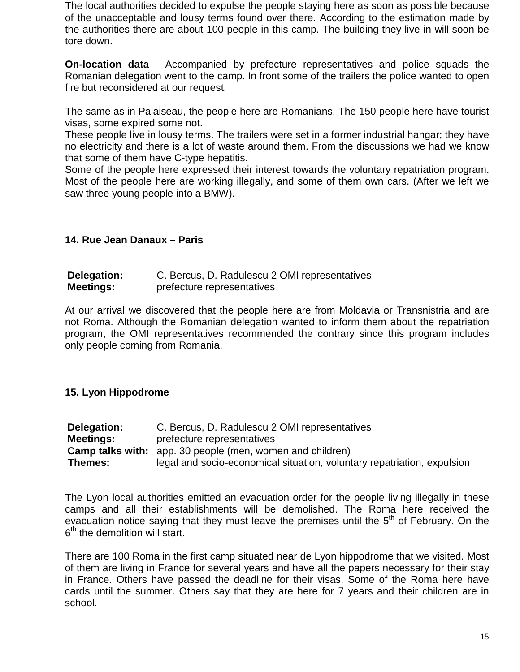The local authorities decided to expulse the people staying here as soon as possible because of the unacceptable and lousy terms found over there. According to the estimation made by the authorities there are about 100 people in this camp. The building they live in will soon be tore down.

**On-location data** - Accompanied by prefecture representatives and police squads the Romanian delegation went to the camp. In front some of the trailers the police wanted to open fire but reconsidered at our request.

The same as in Palaiseau, the people here are Romanians. The 150 people here have tourist visas, some expired some not.

These people live in lousy terms. The trailers were set in a former industrial hangar; they have no electricity and there is a lot of waste around them. From the discussions we had we know that some of them have C-type hepatitis.

Some of the people here expressed their interest towards the voluntary repatriation program. Most of the people here are working illegally, and some of them own cars. (After we left we saw three young people into a BMW).

#### **14. Rue Jean Danaux – Paris**

| Delegation:      | C. Bercus, D. Radulescu 2 OMI representatives |
|------------------|-----------------------------------------------|
| <b>Meetings:</b> | prefecture representatives                    |

At our arrival we discovered that the people here are from Moldavia or Transnistria and are not Roma. Although the Romanian delegation wanted to inform them about the repatriation program, the OMI representatives recommended the contrary since this program includes only people coming from Romania.

#### **15. Lyon Hippodrome**

| Delegation:      | C. Bercus, D. Radulescu 2 OMI representatives                           |  |  |
|------------------|-------------------------------------------------------------------------|--|--|
| <b>Meetings:</b> | prefecture representatives                                              |  |  |
|                  | <b>Camp talks with:</b> app. 30 people (men, women and children)        |  |  |
| Themes:          | legal and socio-economical situation, voluntary repatriation, expulsion |  |  |

The Lyon local authorities emitted an evacuation order for the people living illegally in these camps and all their establishments will be demolished. The Roma here received the evacuation notice saying that they must leave the premises until the  $5<sup>th</sup>$  of February. On the  $6<sup>th</sup>$  the demolition will start.

There are 100 Roma in the first camp situated near de Lyon hippodrome that we visited. Most of them are living in France for several years and have all the papers necessary for their stay in France. Others have passed the deadline for their visas. Some of the Roma here have cards until the summer. Others say that they are here for 7 years and their children are in school.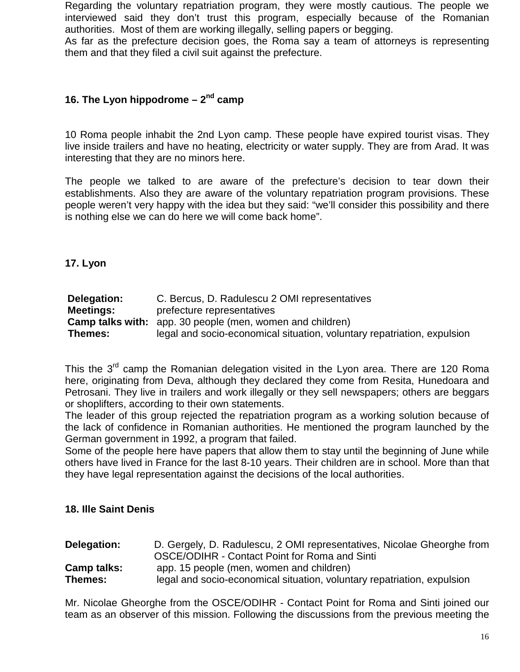Regarding the voluntary repatriation program, they were mostly cautious. The people we interviewed said they don't trust this program, especially because of the Romanian authorities. Most of them are working illegally, selling papers or begging.

As far as the prefecture decision goes, the Roma say a team of attorneys is representing them and that they filed a civil suit against the prefecture.

## **16. The Lyon hippodrome – 2nd camp**

10 Roma people inhabit the 2nd Lyon camp. These people have expired tourist visas. They live inside trailers and have no heating, electricity or water supply. They are from Arad. It was interesting that they are no minors here.

The people we talked to are aware of the prefecture's decision to tear down their establishments. Also they are aware of the voluntary repatriation program provisions. These people weren't very happy with the idea but they said: "we'll consider this possibility and there is nothing else we can do here we will come back home".

**17. Lyon**

| Delegation:      | C. Bercus, D. Radulescu 2 OMI representatives                           |  |  |
|------------------|-------------------------------------------------------------------------|--|--|
| <b>Meetings:</b> | prefecture representatives                                              |  |  |
|                  | <b>Camp talks with:</b> app. 30 people (men, women and children)        |  |  |
| Themes:          | legal and socio-economical situation, voluntary repatriation, expulsion |  |  |

This the 3<sup>rd</sup> camp the Romanian delegation visited in the Lyon area. There are 120 Roma here, originating from Deva, although they declared they come from Resita, Hunedoara and Petrosani. They live in trailers and work illegally or they sell newspapers; others are beggars or shoplifters, according to their own statements.

The leader of this group rejected the repatriation program as a working solution because of the lack of confidence in Romanian authorities. He mentioned the program launched by the German government in 1992, a program that failed.

Some of the people here have papers that allow them to stay until the beginning of June while others have lived in France for the last 8-10 years. Their children are in school. More than that they have legal representation against the decisions of the local authorities.

#### **18. Ille Saint Denis**

| Delegation:        | D. Gergely, D. Radulescu, 2 OMI representatives, Nicolae Gheorghe from  |
|--------------------|-------------------------------------------------------------------------|
|                    | OSCE/ODIHR - Contact Point for Roma and Sinti                           |
| <b>Camp talks:</b> | app. 15 people (men, women and children)                                |
| Themes:            | legal and socio-economical situation, voluntary repatriation, expulsion |

Mr. Nicolae Gheorghe from the OSCE/ODIHR - Contact Point for Roma and Sinti joined our team as an observer of this mission. Following the discussions from the previous meeting the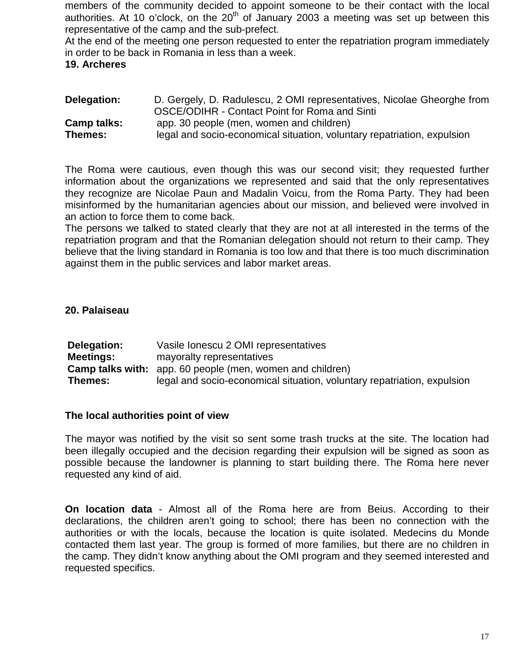members of the community decided to appoint someone to be their contact with the local authorities. At 10 o'clock, on the  $20<sup>th</sup>$  of January 2003 a meeting was set up between this representative of the camp and the sub-prefect.

At the end of the meeting one person requested to enter the repatriation program immediately in order to be back in Romania in less than a week.

**19. Archeres**

| Delegation:        | D. Gergely, D. Radulescu, 2 OMI representatives, Nicolae Gheorghe from  |
|--------------------|-------------------------------------------------------------------------|
|                    | OSCE/ODIHR - Contact Point for Roma and Sinti                           |
| <b>Camp talks:</b> | app. 30 people (men, women and children)                                |
| Themes:            | legal and socio-economical situation, voluntary repatriation, expulsion |

The Roma were cautious, even though this was our second visit; they requested further information about the organizations we represented and said that the only representatives they recognize are Nicolae Paun and Madalin Voicu, from the Roma Party. They had been misinformed by the humanitarian agencies about our mission, and believed were involved in an action to force them to come back.

The persons we talked to stated clearly that they are not at all interested in the terms of the repatriation program and that the Romanian delegation should not return to their camp. They believe that the living standard in Romania is too low and that there is too much discrimination against them in the public services and labor market areas.

## **20. Palaiseau**

| Delegation:      | Vasile Ionescu 2 OMI representatives                                    |
|------------------|-------------------------------------------------------------------------|
| <b>Meetings:</b> | mayoralty representatives                                               |
|                  | <b>Camp talks with:</b> app. 60 people (men, women and children)        |
| Themes:          | legal and socio-economical situation, voluntary repatriation, expulsion |

#### **The local authorities point of view**

The mayor was notified by the visit so sent some trash trucks at the site. The location had been illegally occupied and the decision regarding their expulsion will be signed as soon as possible because the landowner is planning to start building there. The Roma here never requested any kind of aid.

**On location data** - Almost all of the Roma here are from Beius. According to their declarations, the children aren't going to school; there has been no connection with the authorities or with the locals, because the location is quite isolated. Medecins du Monde contacted them last year. The group is formed of more families, but there are no children in the camp. They didn't know anything about the OMI program and they seemed interested and requested specifics.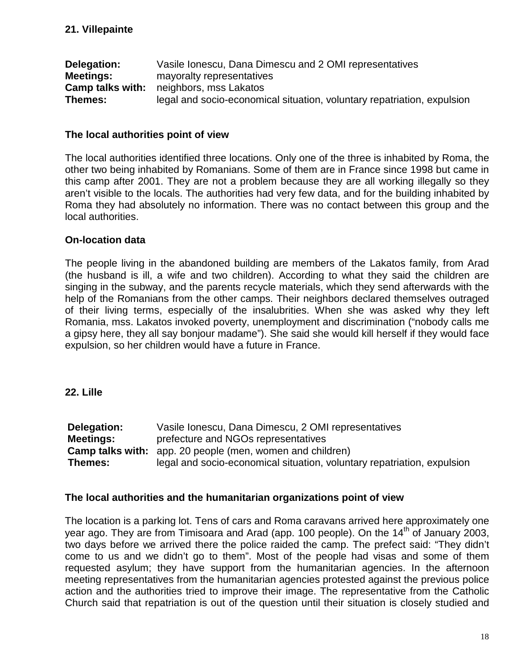| Delegation:             | Vasile Ionescu, Dana Dimescu and 2 OMI representatives                  |  |  |
|-------------------------|-------------------------------------------------------------------------|--|--|
| <b>Meetings:</b>        | mayoralty representatives                                               |  |  |
| <b>Camp talks with:</b> | neighbors, mss Lakatos                                                  |  |  |
| Themes:                 | legal and socio-economical situation, voluntary repatriation, expulsion |  |  |

#### **The local authorities point of view**

The local authorities identified three locations. Only one of the three is inhabited by Roma, the other two being inhabited by Romanians. Some of them are in France since 1998 but came in this camp after 2001. They are not a problem because they are all working illegally so they aren't visible to the locals. The authorities had very few data, and for the building inhabited by Roma they had absolutely no information. There was no contact between this group and the local authorities.

## **On-location data**

The people living in the abandoned building are members of the Lakatos family, from Arad (the husband is ill, a wife and two children). According to what they said the children are singing in the subway, and the parents recycle materials, which they send afterwards with the help of the Romanians from the other camps. Their neighbors declared themselves outraged of their living terms, especially of the insalubrities. When she was asked why they left Romania, mss. Lakatos invoked poverty, unemployment and discrimination ("nobody calls me a gipsy here, they all say bonjour madame"). She said she would kill herself if they would face expulsion, so her children would have a future in France.

**22. Lille**

| Delegation:      | Vasile Ionescu, Dana Dimescu, 2 OMI representatives                     |
|------------------|-------------------------------------------------------------------------|
| <b>Meetings:</b> | prefecture and NGOs representatives                                     |
|                  | <b>Camp talks with:</b> app. 20 people (men, women and children)        |
| Themes:          | legal and socio-economical situation, voluntary repatriation, expulsion |

#### **The local authorities and the humanitarian organizations point of view**

The location is a parking lot. Tens of cars and Roma caravans arrived here approximately one year ago. They are from Timisoara and Arad (app. 100 people). On the 14<sup>th</sup> of January 2003, two days before we arrived there the police raided the camp. The prefect said: "They didn't come to us and we didn't go to them". Most of the people had visas and some of them requested asylum; they have support from the humanitarian agencies. In the afternoon meeting representatives from the humanitarian agencies protested against the previous police action and the authorities tried to improve their image. The representative from the Catholic Church said that repatriation is out of the question until their situation is closely studied and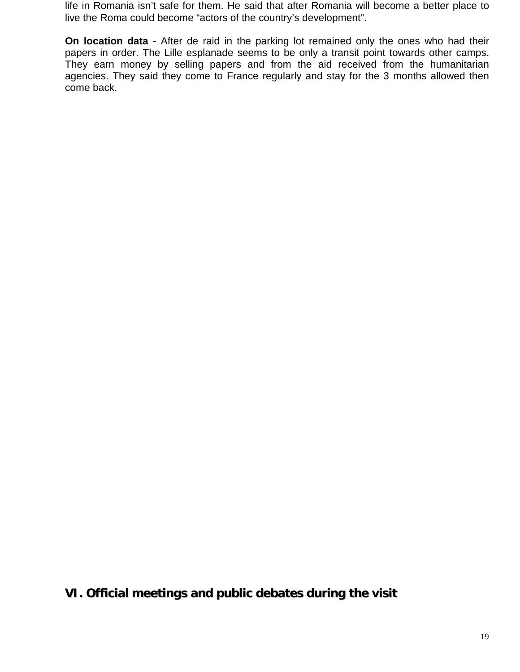life in Romania isn't safe for them. He said that after Romania will become a better place to live the Roma could become "actors of the country's development".

**On location data** - After de raid in the parking lot remained only the ones who had their papers in order. The Lille esplanade seems to be only a transit point towards other camps. They earn money by selling papers and from the aid received from the humanitarian agencies. They said they come to France regularly and stay for the 3 months allowed then come back.

# **VI. Official meetings and public debates during the visit**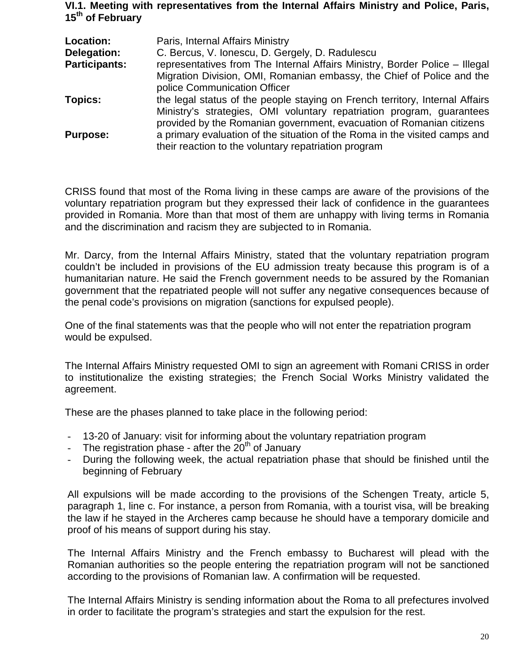**VI.1. Meeting with representatives from the Internal Affairs Ministry and Police, Paris, 15th of February**

| Location:            | Paris, Internal Affairs Ministry                                                                                                              |
|----------------------|-----------------------------------------------------------------------------------------------------------------------------------------------|
| Delegation:          | C. Bercus, V. Ionescu, D. Gergely, D. Radulescu                                                                                               |
| <b>Participants:</b> | representatives from The Internal Affairs Ministry, Border Police - Illegal                                                                   |
|                      | Migration Division, OMI, Romanian embassy, the Chief of Police and the                                                                        |
|                      | police Communication Officer                                                                                                                  |
| <b>Topics:</b>       | the legal status of the people staying on French territory, Internal Affairs                                                                  |
|                      | Ministry's strategies, OMI voluntary repatriation program, guarantees<br>provided by the Romanian government, evacuation of Romanian citizens |
| <b>Purpose:</b>      | a primary evaluation of the situation of the Roma in the visited camps and                                                                    |
|                      | their reaction to the voluntary repatriation program                                                                                          |

CRISS found that most of the Roma living in these camps are aware of the provisions of the voluntary repatriation program but they expressed their lack of confidence in the guarantees provided in Romania. More than that most of them are unhappy with living terms in Romania and the discrimination and racism they are subjected to in Romania.

Mr. Darcy, from the Internal Affairs Ministry, stated that the voluntary repatriation program couldn't be included in provisions of the EU admission treaty because this program is of a humanitarian nature. He said the French government needs to be assured by the Romanian government that the repatriated people will not suffer any negative consequences because of the penal code's provisions on migration (sanctions for expulsed people).

One of the final statements was that the people who will not enter the repatriation program would be expulsed.

The Internal Affairs Ministry requested OMI to sign an agreement with Romani CRISS in order to institutionalize the existing strategies; the French Social Works Ministry validated the agreement.

These are the phases planned to take place in the following period:

- 13-20 of January: visit for informing about the voluntary repatriation program
- The registration phase after the  $20<sup>th</sup>$  of January
- During the following week, the actual repatriation phase that should be finished until the beginning of February

All expulsions will be made according to the provisions of the Schengen Treaty, article 5, paragraph 1, line c. For instance, a person from Romania, with a tourist visa, will be breaking the law if he stayed in the Archeres camp because he should have a temporary domicile and proof of his means of support during his stay.

The Internal Affairs Ministry and the French embassy to Bucharest will plead with the Romanian authorities so the people entering the repatriation program will not be sanctioned according to the provisions of Romanian law. A confirmation will be requested.

The Internal Affairs Ministry is sending information about the Roma to all prefectures involved in order to facilitate the program's strategies and start the expulsion for the rest.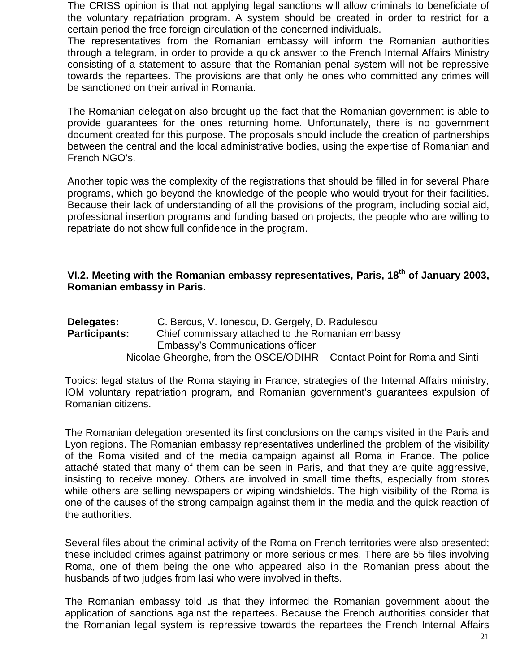The CRISS opinion is that not applying legal sanctions will allow criminals to beneficiate of the voluntary repatriation program. A system should be created in order to restrict for a certain period the free foreign circulation of the concerned individuals.

The representatives from the Romanian embassy will inform the Romanian authorities through a telegram, in order to provide a quick answer to the French Internal Affairs Ministry consisting of a statement to assure that the Romanian penal system will not be repressive towards the repartees. The provisions are that only he ones who committed any crimes will be sanctioned on their arrival in Romania.

The Romanian delegation also brought up the fact that the Romanian government is able to provide guarantees for the ones returning home. Unfortunately, there is no government document created for this purpose. The proposals should include the creation of partnerships between the central and the local administrative bodies, using the expertise of Romanian and French NGO's.

Another topic was the complexity of the registrations that should be filled in for several Phare programs, which go beyond the knowledge of the people who would tryout for their facilities. Because their lack of understanding of all the provisions of the program, including social aid, professional insertion programs and funding based on projects, the people who are willing to repatriate do not show full confidence in the program.

#### **VI.2. Meeting with the Romanian embassy representatives, Paris, 18th of January 2003, Romanian embassy in Paris.**

| C. Bercus, V. Ionescu, D. Gergely, D. Radulescu<br>Delegates: |                                                                          |  |
|---------------------------------------------------------------|--------------------------------------------------------------------------|--|
| <b>Participants:</b>                                          | Chief commissary attached to the Romanian embassy                        |  |
|                                                               | Embassy's Communications officer                                         |  |
|                                                               | Nicolae Gheorghe, from the OSCE/ODIHR – Contact Point for Roma and Sinti |  |

Topics: legal status of the Roma staying in France, strategies of the Internal Affairs ministry, IOM voluntary repatriation program, and Romanian government's guarantees expulsion of Romanian citizens.

The Romanian delegation presented its first conclusions on the camps visited in the Paris and Lyon regions. The Romanian embassy representatives underlined the problem of the visibility of the Roma visited and of the media campaign against all Roma in France. The police attaché stated that many of them can be seen in Paris, and that they are quite aggressive, insisting to receive money. Others are involved in small time thefts, especially from stores while others are selling newspapers or wiping windshields. The high visibility of the Roma is one of the causes of the strong campaign against them in the media and the quick reaction of the authorities.

Several files about the criminal activity of the Roma on French territories were also presented; these included crimes against patrimony or more serious crimes. There are 55 files involving Roma, one of them being the one who appeared also in the Romanian press about the husbands of two judges from Iasi who were involved in thefts.

The Romanian embassy told us that they informed the Romanian government about the application of sanctions against the repartees. Because the French authorities consider that the Romanian legal system is repressive towards the repartees the French Internal Affairs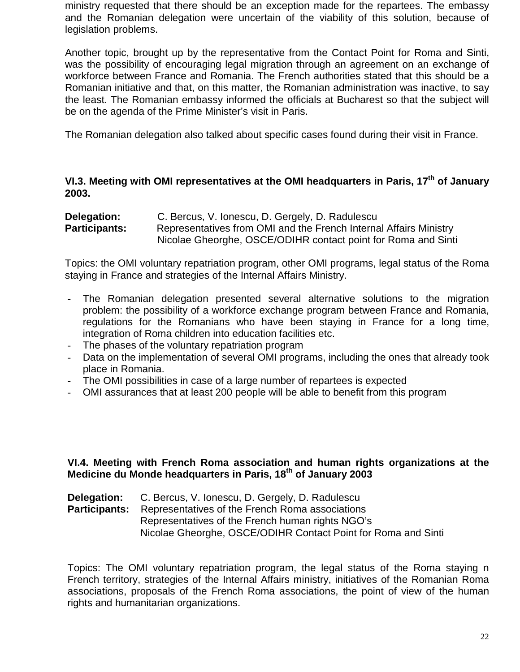ministry requested that there should be an exception made for the repartees. The embassy and the Romanian delegation were uncertain of the viability of this solution, because of legislation problems.

Another topic, brought up by the representative from the Contact Point for Roma and Sinti, was the possibility of encouraging legal migration through an agreement on an exchange of workforce between France and Romania. The French authorities stated that this should be a Romanian initiative and that, on this matter, the Romanian administration was inactive, to say the least. The Romanian embassy informed the officials at Bucharest so that the subject will be on the agenda of the Prime Minister's visit in Paris.

The Romanian delegation also talked about specific cases found during their visit in France.

## **VI.3. Meeting with OMI representatives at the OMI headquarters in Paris, 17th of January 2003.**

**Delegation:** C. Bercus, V. Ionescu, D. Gergely, D. Radulescu **Participants:** Representatives from OMI and the French Internal Affairs Ministry Nicolae Gheorghe, OSCE/ODIHR contact point for Roma and Sinti

Topics: the OMI voluntary repatriation program, other OMI programs, legal status of the Roma staying in France and strategies of the Internal Affairs Ministry.

- The Romanian delegation presented several alternative solutions to the migration problem: the possibility of a workforce exchange program between France and Romania, regulations for the Romanians who have been staying in France for a long time, integration of Roma children into education facilities etc.
- The phases of the voluntary repatriation program
- Data on the implementation of several OMI programs, including the ones that already took place in Romania.
- The OMI possibilities in case of a large number of repartees is expected
- OMI assurances that at least 200 people will be able to benefit from this program

#### **VI.4. Meeting with French Roma association and human rights organizations at the Medicine du Monde headquarters in Paris, 18th of January 2003**

**Delegation:** C. Bercus, V. Ionescu, D. Gergely, D. Radulescu

**Participants:** Representatives of the French Roma associations Representatives of the French human rights NGO's Nicolae Gheorghe, OSCE/ODIHR Contact Point for Roma and Sinti

Topics: The OMI voluntary repatriation program, the legal status of the Roma staying n French territory, strategies of the Internal Affairs ministry, initiatives of the Romanian Roma associations, proposals of the French Roma associations, the point of view of the human rights and humanitarian organizations.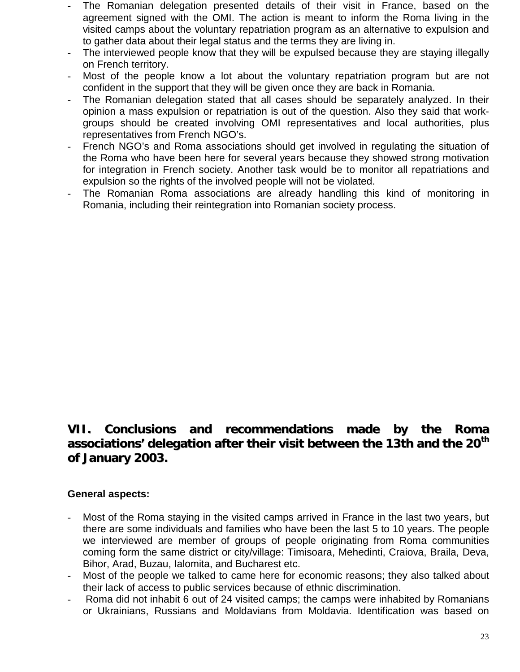- The Romanian delegation presented details of their visit in France, based on the agreement signed with the OMI. The action is meant to inform the Roma living in the visited camps about the voluntary repatriation program as an alternative to expulsion and to gather data about their legal status and the terms they are living in.
- The interviewed people know that they will be expulsed because they are staying illegally on French territory.
- Most of the people know a lot about the voluntary repatriation program but are not confident in the support that they will be given once they are back in Romania.
- The Romanian delegation stated that all cases should be separately analyzed. In their opinion a mass expulsion or repatriation is out of the question. Also they said that workgroups should be created involving OMI representatives and local authorities, plus representatives from French NGO's.
- French NGO's and Roma associations should get involved in regulating the situation of the Roma who have been here for several years because they showed strong motivation for integration in French society. Another task would be to monitor all repatriations and expulsion so the rights of the involved people will not be violated.
- The Romanian Roma associations are already handling this kind of monitoring in Romania, including their reintegration into Romanian society process.

# **VII. Conclusions and recommendations made by the Roma associations' delegation after their visit between the 13th and the 20th of January 2003.**

## **General aspects:**

- Most of the Roma staying in the visited camps arrived in France in the last two years, but there are some individuals and families who have been the last 5 to 10 years. The people we interviewed are member of groups of people originating from Roma communities coming form the same district or city/village: Timisoara, Mehedinti, Craiova, Braila, Deva, Bihor, Arad, Buzau, Ialomita, and Bucharest etc.
- Most of the people we talked to came here for economic reasons; they also talked about their lack of access to public services because of ethnic discrimination.
- Roma did not inhabit 6 out of 24 visited camps; the camps were inhabited by Romanians or Ukrainians, Russians and Moldavians from Moldavia. Identification was based on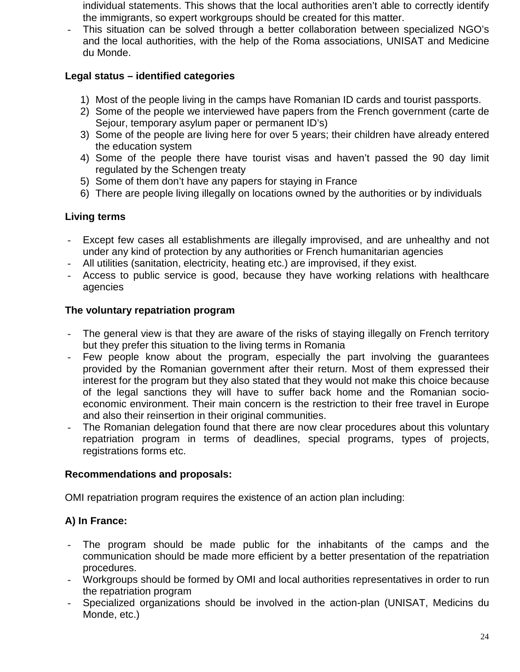individual statements. This shows that the local authorities aren't able to correctly identify the immigrants, so expert workgroups should be created for this matter.

This situation can be solved through a better collaboration between specialized NGO's and the local authorities, with the help of the Roma associations, UNISAT and Medicine du Monde.

## **Legal status – identified categories**

- 1) Most of the people living in the camps have Romanian ID cards and tourist passports.
- 2) Some of the people we interviewed have papers from the French government (carte de Sejour, temporary asylum paper or permanent ID's)
- 3) Some of the people are living here for over 5 years; their children have already entered the education system
- 4) Some of the people there have tourist visas and haven't passed the 90 day limit regulated by the Schengen treaty
- 5) Some of them don't have any papers for staying in France
- 6) There are people living illegally on locations owned by the authorities or by individuals

## **Living terms**

- Except few cases all establishments are illegally improvised, and are unhealthy and not under any kind of protection by any authorities or French humanitarian agencies
- All utilities (sanitation, electricity, heating etc.) are improvised, if they exist.
- Access to public service is good, because they have working relations with healthcare agencies

## **The voluntary repatriation program**

- The general view is that they are aware of the risks of staying illegally on French territory but they prefer this situation to the living terms in Romania
- Few people know about the program, especially the part involving the guarantees provided by the Romanian government after their return. Most of them expressed their interest for the program but they also stated that they would not make this choice because of the legal sanctions they will have to suffer back home and the Romanian socioeconomic environment. Their main concern is the restriction to their free travel in Europe and also their reinsertion in their original communities.
- The Romanian delegation found that there are now clear procedures about this voluntary repatriation program in terms of deadlines, special programs, types of projects, registrations forms etc.

## **Recommendations and proposals:**

OMI repatriation program requires the existence of an action plan including:

## **A) In France:**

- The program should be made public for the inhabitants of the camps and the communication should be made more efficient by a better presentation of the repatriation procedures.
- Workgroups should be formed by OMI and local authorities representatives in order to run the repatriation program
- Specialized organizations should be involved in the action-plan (UNISAT, Medicins du Monde, etc.)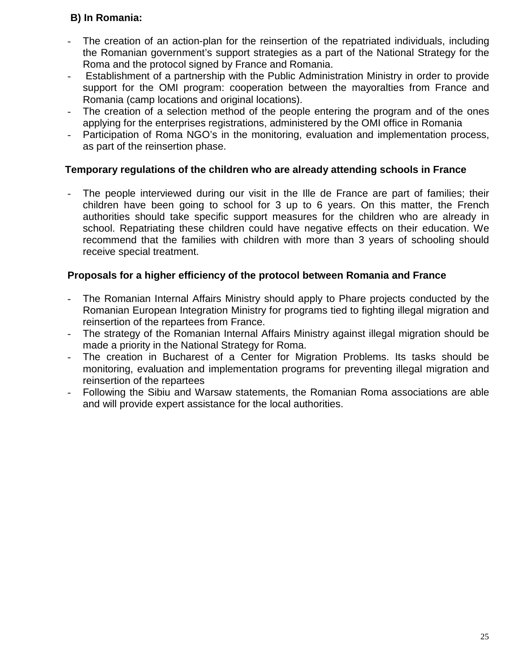## **B) In Romania:**

- The creation of an action-plan for the reinsertion of the repatriated individuals, including the Romanian government's support strategies as a part of the National Strategy for the Roma and the protocol signed by France and Romania.
- Establishment of a partnership with the Public Administration Ministry in order to provide support for the OMI program: cooperation between the mayoralties from France and Romania (camp locations and original locations).
- The creation of a selection method of the people entering the program and of the ones applying for the enterprises registrations, administered by the OMI office in Romania
- Participation of Roma NGO's in the monitoring, evaluation and implementation process, as part of the reinsertion phase.

## **Temporary regulations of the children who are already attending schools in France**

The people interviewed during our visit in the Ille de France are part of families; their children have been going to school for 3 up to 6 years. On this matter, the French authorities should take specific support measures for the children who are already in school. Repatriating these children could have negative effects on their education. We recommend that the families with children with more than 3 years of schooling should receive special treatment.

## **Proposals for a higher efficiency of the protocol between Romania and France**

- The Romanian Internal Affairs Ministry should apply to Phare projects conducted by the Romanian European Integration Ministry for programs tied to fighting illegal migration and reinsertion of the repartees from France.
- The strategy of the Romanian Internal Affairs Ministry against illegal migration should be made a priority in the National Strategy for Roma.
- The creation in Bucharest of a Center for Migration Problems. Its tasks should be monitoring, evaluation and implementation programs for preventing illegal migration and reinsertion of the repartees
- Following the Sibiu and Warsaw statements, the Romanian Roma associations are able and will provide expert assistance for the local authorities.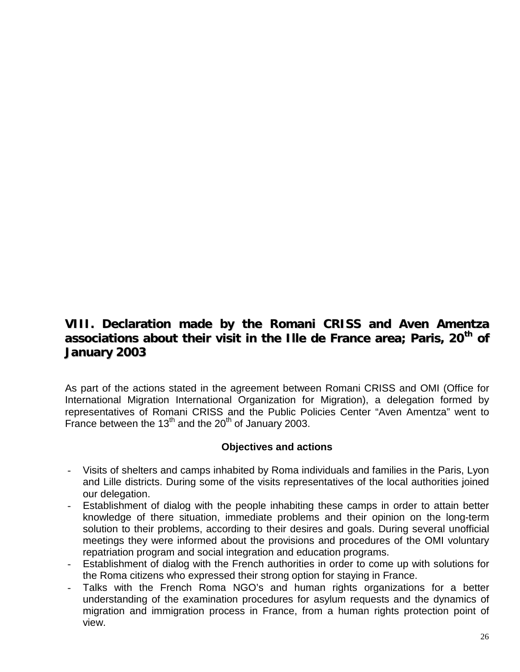# **VIII. Declaration made by the Romani CRISS and Aven Amentza associations about their visit in the Ille de France area; Paris, 20th of January 2003**

As part of the actions stated in the agreement between Romani CRISS and OMI (Office for International Migration International Organization for Migration), a delegation formed by representatives of Romani CRISS and the Public Policies Center "Aven Amentza" went to France between the  $13<sup>th</sup>$  and the  $20<sup>th</sup>$  of January 2003.

#### **Objectives and actions**

- Visits of shelters and camps inhabited by Roma individuals and families in the Paris, Lyon and Lille districts. During some of the visits representatives of the local authorities joined our delegation.
- Establishment of dialog with the people inhabiting these camps in order to attain better knowledge of there situation, immediate problems and their opinion on the long-term solution to their problems, according to their desires and goals. During several unofficial meetings they were informed about the provisions and procedures of the OMI voluntary repatriation program and social integration and education programs.
- Establishment of dialog with the French authorities in order to come up with solutions for the Roma citizens who expressed their strong option for staying in France.
- Talks with the French Roma NGO's and human rights organizations for a better understanding of the examination procedures for asylum requests and the dynamics of migration and immigration process in France, from a human rights protection point of view.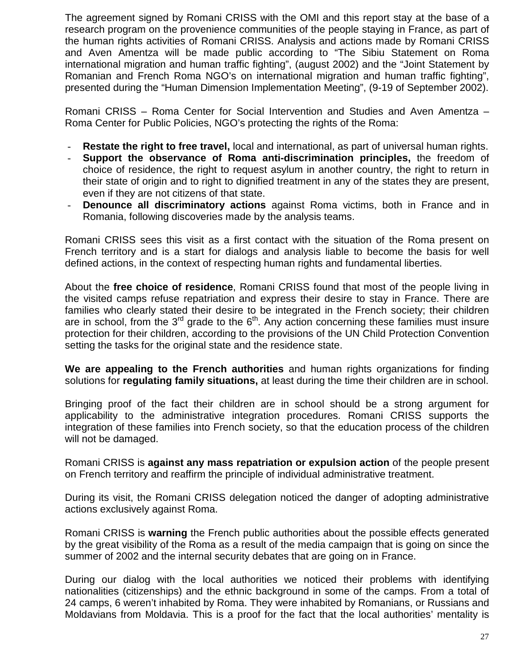The agreement signed by Romani CRISS with the OMI and this report stay at the base of a research program on the provenience communities of the people staying in France, as part of the human rights activities of Romani CRISS. Analysis and actions made by Romani CRISS and Aven Amentza will be made public according to "The Sibiu Statement on Roma international migration and human traffic fighting", (august 2002) and the "Joint Statement by Romanian and French Roma NGO's on international migration and human traffic fighting", presented during the "Human Dimension Implementation Meeting", (9-19 of September 2002).

Romani CRISS – Roma Center for Social Intervention and Studies and Aven Amentza – Roma Center for Public Policies, NGO's protecting the rights of the Roma:

- Restate the right to free travel, local and international, as part of universal human rights.
- **Support the observance of Roma anti-discrimination principles,** the freedom of choice of residence, the right to request asylum in another country, the right to return in their state of origin and to right to dignified treatment in any of the states they are present, even if they are not citizens of that state.
- **Denounce all discriminatory actions** against Roma victims, both in France and in Romania, following discoveries made by the analysis teams.

Romani CRISS sees this visit as a first contact with the situation of the Roma present on French territory and is a start for dialogs and analysis liable to become the basis for well defined actions, in the context of respecting human rights and fundamental liberties.

About the **free choice of residence**, Romani CRISS found that most of the people living in the visited camps refuse repatriation and express their desire to stay in France. There are families who clearly stated their desire to be integrated in the French society; their children are in school, from the  $3<sup>rd</sup>$  grade to the  $6<sup>th</sup>$ . Any action concerning these families must insure protection for their children, according to the provisions of the UN Child Protection Convention setting the tasks for the original state and the residence state.

**We are appealing to the French authorities** and human rights organizations for finding solutions for **regulating family situations,** at least during the time their children are in school.

Bringing proof of the fact their children are in school should be a strong argument for applicability to the administrative integration procedures. Romani CRISS supports the integration of these families into French society, so that the education process of the children will not be damaged.

Romani CRISS is **against any mass repatriation or expulsion action** of the people present on French territory and reaffirm the principle of individual administrative treatment.

During its visit, the Romani CRISS delegation noticed the danger of adopting administrative actions exclusively against Roma.

Romani CRISS is **warning** the French public authorities about the possible effects generated by the great visibility of the Roma as a result of the media campaign that is going on since the summer of 2002 and the internal security debates that are going on in France.

During our dialog with the local authorities we noticed their problems with identifying nationalities (citizenships) and the ethnic background in some of the camps. From a total of 24 camps, 6 weren't inhabited by Roma. They were inhabited by Romanians, or Russians and Moldavians from Moldavia. This is a proof for the fact that the local authorities' mentality is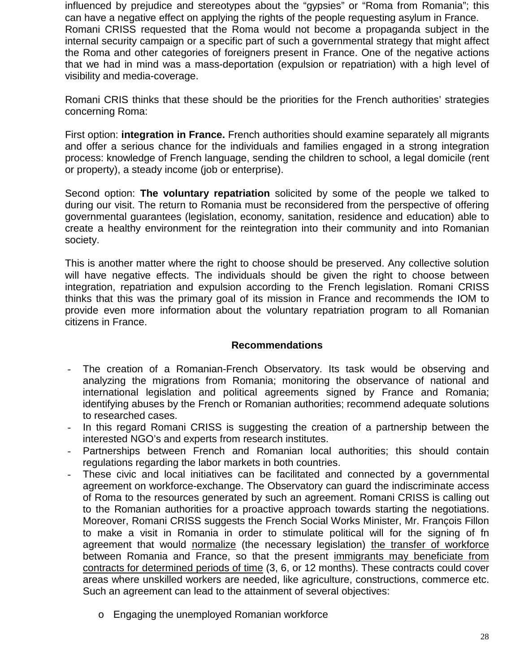influenced by prejudice and stereotypes about the "gypsies" or "Roma from Romania"; this can have a negative effect on applying the rights of the people requesting asylum in France. Romani CRISS requested that the Roma would not become a propaganda subject in the internal security campaign or a specific part of such a governmental strategy that might affect the Roma and other categories of foreigners present in France. One of the negative actions that we had in mind was a mass-deportation (expulsion or repatriation) with a high level of visibility and media-coverage.

Romani CRIS thinks that these should be the priorities for the French authorities' strategies concerning Roma:

First option: **integration in France.** French authorities should examine separately all migrants and offer a serious chance for the individuals and families engaged in a strong integration process: knowledge of French language, sending the children to school, a legal domicile (rent or property), a steady income (job or enterprise).

Second option: **The voluntary repatriation** solicited by some of the people we talked to during our visit. The return to Romania must be reconsidered from the perspective of offering governmental guarantees (legislation, economy, sanitation, residence and education) able to create a healthy environment for the reintegration into their community and into Romanian society.

This is another matter where the right to choose should be preserved. Any collective solution will have negative effects. The individuals should be given the right to choose between integration, repatriation and expulsion according to the French legislation. Romani CRISS thinks that this was the primary goal of its mission in France and recommends the IOM to provide even more information about the voluntary repatriation program to all Romanian citizens in France.

#### **Recommendations**

- The creation of a Romanian-French Observatory. Its task would be observing and analyzing the migrations from Romania; monitoring the observance of national and international legislation and political agreements signed by France and Romania; identifying abuses by the French or Romanian authorities; recommend adequate solutions to researched cases.
- In this regard Romani CRISS is suggesting the creation of a partnership between the interested NGO's and experts from research institutes.
- Partnerships between French and Romanian local authorities; this should contain regulations regarding the labor markets in both countries.
- These civic and local initiatives can be facilitated and connected by a governmental agreement on workforce-exchange. The Observatory can guard the indiscriminate access of Roma to the resources generated by such an agreement. Romani CRISS is calling out to the Romanian authorities for a proactive approach towards starting the negotiations. Moreover, Romani CRISS suggests the French Social Works Minister, Mr. François Fillon to make a visit in Romania in order to stimulate political will for the signing of fn agreement that would normalize (the necessary legislation) the transfer of workforce between Romania and France, so that the present immigrants may beneficiate from contracts for determined periods of time (3, 6, or 12 months). These contracts could cover areas where unskilled workers are needed, like agriculture, constructions, commerce etc. Such an agreement can lead to the attainment of several objectives:
	- o Engaging the unemployed Romanian workforce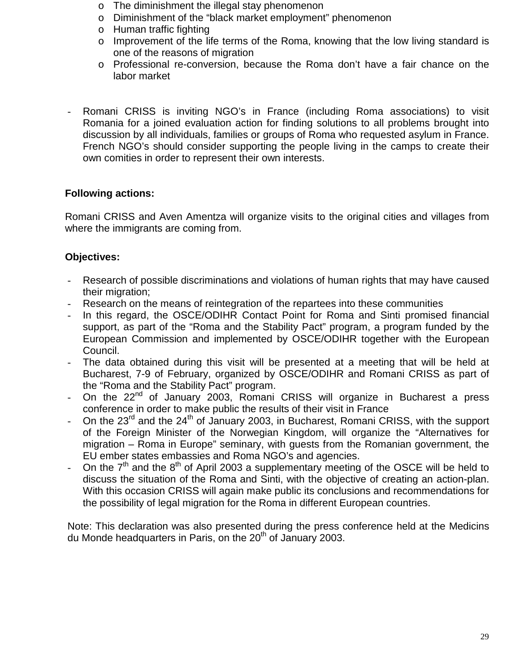- o The diminishment the illegal stay phenomenon
- o Diminishment of the "black market employment" phenomenon
- o Human traffic fighting
- $\circ$  Improvement of the life terms of the Roma, knowing that the low living standard is one of the reasons of migration
- o Professional re-conversion, because the Roma don't have a fair chance on the labor market
- Romani CRISS is inviting NGO's in France (including Roma associations) to visit Romania for a joined evaluation action for finding solutions to all problems brought into discussion by all individuals, families or groups of Roma who requested asylum in France. French NGO's should consider supporting the people living in the camps to create their own comities in order to represent their own interests.

## **Following actions:**

Romani CRISS and Aven Amentza will organize visits to the original cities and villages from where the immigrants are coming from.

## **Objectives:**

- Research of possible discriminations and violations of human rights that may have caused their migration;
- Research on the means of reintegration of the repartees into these communities
- In this regard, the OSCE/ODIHR Contact Point for Roma and Sinti promised financial support, as part of the "Roma and the Stability Pact" program, a program funded by the European Commission and implemented by OSCE/ODIHR together with the European Council.
- The data obtained during this visit will be presented at a meeting that will be held at Bucharest, 7-9 of February, organized by OSCE/ODIHR and Romani CRISS as part of the "Roma and the Stability Pact" program.
- On the  $22^{nd}$  of January 2003, Romani CRISS will organize in Bucharest a press conference in order to make public the results of their visit in France
- On the 23<sup>rd</sup> and the 24<sup>th</sup> of January 2003, in Bucharest, Romani CRISS, with the support of the Foreign Minister of the Norwegian Kingdom, will organize the "Alternatives for migration – Roma in Europe" seminary, with guests from the Romanian government, the EU ember states embassies and Roma NGO's and agencies.
- On the  $7<sup>th</sup>$  and the  $8<sup>th</sup>$  of April 2003 a supplementary meeting of the OSCE will be held to discuss the situation of the Roma and Sinti, with the objective of creating an action-plan. With this occasion CRISS will again make public its conclusions and recommendations for the possibility of legal migration for the Roma in different European countries.

Note: This declaration was also presented during the press conference held at the Medicins du Monde headquarters in Paris, on the 20<sup>th</sup> of January 2003.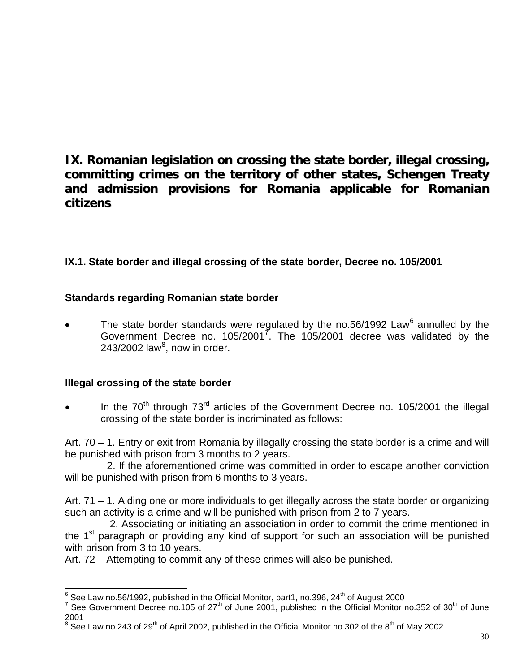# **IX. Romanian legislation on crossing the state border, illegal crossing, committing crimes on the territory of other states, Schengen Treaty and admission provisions for Romania applicable for Romanian citizens**

## **IX.1. State border and illegal crossing of the state border, Decree no. 105/2001**

## **Standards regarding Romanian state border**

The state border standards were regulated by the no.5[6](#page-30-0)/1992 Law $<sup>6</sup>$  annulled by the</sup> Government Decree no.  $105/2001^7$  $105/2001^7$ . The 105/2001 decree was validated by the 243/2002 law $^{\rm 8}$  $^{\rm 8}$  $^{\rm 8}$ , now in order.

## **Illegal crossing of the state border**

In the  $70<sup>th</sup>$  through  $73<sup>rd</sup>$  articles of the Government Decree no. 105/2001 the illegal crossing of the state border is incriminated as follows:

Art. 70 – 1. Entry or exit from Romania by illegally crossing the state border is a crime and will be punished with prison from 3 months to 2 years.

 2. If the aforementioned crime was committed in order to escape another conviction will be punished with prison from 6 months to 3 years.

Art. 71 – 1. Aiding one or more individuals to get illegally across the state border or organizing such an activity is a crime and will be punished with prison from 2 to 7 years.

 2. Associating or initiating an association in order to commit the crime mentioned in the 1<sup>st</sup> paragraph or providing any kind of support for such an association will be punished with prison from 3 to 10 years.

Art. 72 – Attempting to commit any of these crimes will also be punished.

<span id="page-30-1"></span><span id="page-30-0"></span><sup>&</sup>lt;sup>6</sup> See Law no.56/1992, published in the Official Monitor, part1, no.396, 24<sup>th</sup> of August 2000<br><sup>7</sup> See Government Decree no.105 of 27<sup>th</sup> of June 2001, published in the Official Monitor no.352 of 30<sup>th</sup> of June 2001

<span id="page-30-2"></span> $8$  See Law no.243 of 29<sup>th</sup> of April 2002, published in the Official Monitor no.302 of the 8<sup>th</sup> of May 2002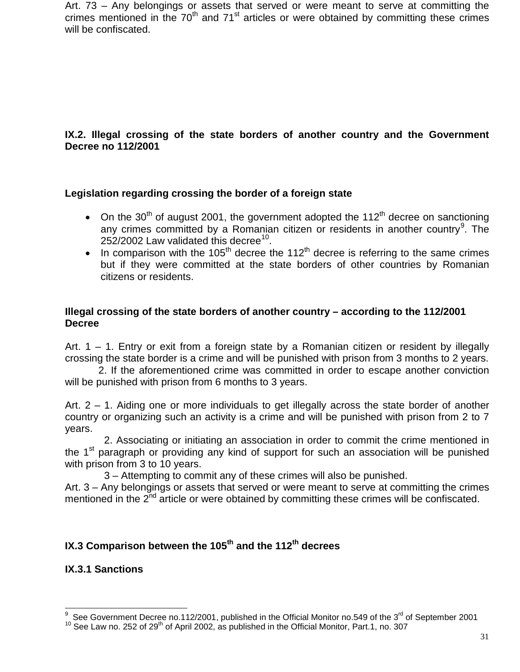Art. 73 – Any belongings or assets that served or were meant to serve at committing the crimes mentioned in the  $70<sup>th</sup>$  and  $71<sup>st</sup>$  articles or were obtained by committing these crimes will be confiscated.

## **IX.2. Illegal crossing of the state borders of another country and the Government Decree no 112/2001**

## **Legislation regarding crossing the border of a foreign state**

- On the 30<sup>th</sup> of august 2001, the government adopted the 112<sup>th</sup> decree on sanctioning any crimes committed by a Romanian citizen or residents in another country<sup>[9](#page-31-0)</sup>. The 252/2002 Law validated this decree $^{10}$  $^{10}$  $^{10}$ .
- In comparison with the 105<sup>th</sup> decree the 112<sup>th</sup> decree is referring to the same crimes but if they were committed at the state borders of other countries by Romanian citizens or residents.

## **Illegal crossing of the state borders of another country – according to the 112/2001 Decree**

Art.  $1 - 1$ . Entry or exit from a foreign state by a Romanian citizen or resident by illegally crossing the state border is a crime and will be punished with prison from 3 months to 2 years.

2. If the aforementioned crime was committed in order to escape another conviction will be punished with prison from 6 months to 3 years.

Art. 2 – 1. Aiding one or more individuals to get illegally across the state border of another country or organizing such an activity is a crime and will be punished with prison from 2 to 7 years.

 2. Associating or initiating an association in order to commit the crime mentioned in the  $1<sup>st</sup>$  paragraph or providing any kind of support for such an association will be punished with prison from 3 to 10 years.

3 – Attempting to commit any of these crimes will also be punished.

Art. 3 – Any belongings or assets that served or were meant to serve at committing the crimes mentioned in the  $2<sup>nd</sup>$  article or were obtained by committing these crimes will be confiscated.

## **IX.3 Comparison between the 105th and the 112th decrees**

## **IX.3.1 Sanctions**

<span id="page-31-0"></span><sup>9</sup>  $^9$  See Government Decree no.112/2001, published in the Official Monitor no.549 of the 3<sup>rd</sup> of September 2001<br><sup>10</sup> See Law no. 252 of 29<sup>th</sup> of April 2002, as published in the Official Monitor, Part.1, no. 307

<span id="page-31-1"></span>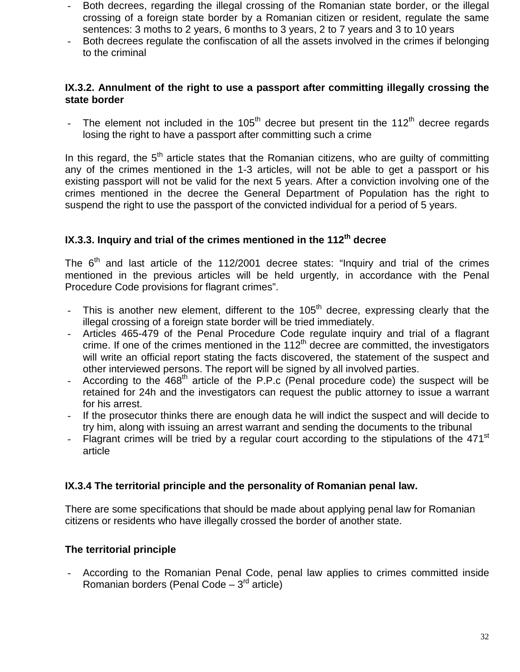- Both decrees, regarding the illegal crossing of the Romanian state border, or the illegal crossing of a foreign state border by a Romanian citizen or resident, regulate the same sentences: 3 moths to 2 years, 6 months to 3 years, 2 to 7 years and 3 to 10 years
- Both decrees regulate the confiscation of all the assets involved in the crimes if belonging to the criminal

#### **IX.3.2. Annulment of the right to use a passport after committing illegally crossing the state border**

The element not included in the  $105<sup>th</sup>$  decree but present tin the  $112<sup>th</sup>$  decree regards losing the right to have a passport after committing such a crime

In this regard, the  $5<sup>th</sup>$  article states that the Romanian citizens, who are guilty of committing any of the crimes mentioned in the 1-3 articles, will not be able to get a passport or his existing passport will not be valid for the next 5 years. After a conviction involving one of the crimes mentioned in the decree the General Department of Population has the right to suspend the right to use the passport of the convicted individual for a period of 5 years.

## **IX.3.3. Inquiry and trial of the crimes mentioned in the 112th decree**

The  $6<sup>th</sup>$  and last article of the 112/2001 decree states: "Inquiry and trial of the crimes mentioned in the previous articles will be held urgently, in accordance with the Penal Procedure Code provisions for flagrant crimes".

- This is another new element, different to the  $105<sup>th</sup>$  decree, expressing clearly that the illegal crossing of a foreign state border will be tried immediately.
- Articles 465-479 of the Penal Procedure Code regulate inquiry and trial of a flagrant crime. If one of the crimes mentioned in the  $112<sup>th</sup>$  decree are committed, the investigators will write an official report stating the facts discovered, the statement of the suspect and other interviewed persons. The report will be signed by all involved parties.
- According to the  $468<sup>th</sup>$  article of the P.P.c (Penal procedure code) the suspect will be retained for 24h and the investigators can request the public attorney to issue a warrant for his arrest.
- If the prosecutor thinks there are enough data he will indict the suspect and will decide to try him, along with issuing an arrest warrant and sending the documents to the tribunal
- Flagrant crimes will be tried by a regular court according to the stipulations of the 471<sup>st</sup> article

## **IX.3.4 The territorial principle and the personality of Romanian penal law.**

There are some specifications that should be made about applying penal law for Romanian citizens or residents who have illegally crossed the border of another state.

## **The territorial principle**

- According to the Romanian Penal Code, penal law applies to crimes committed inside Romanian borders (Penal Code  $-3^{rd}$  article)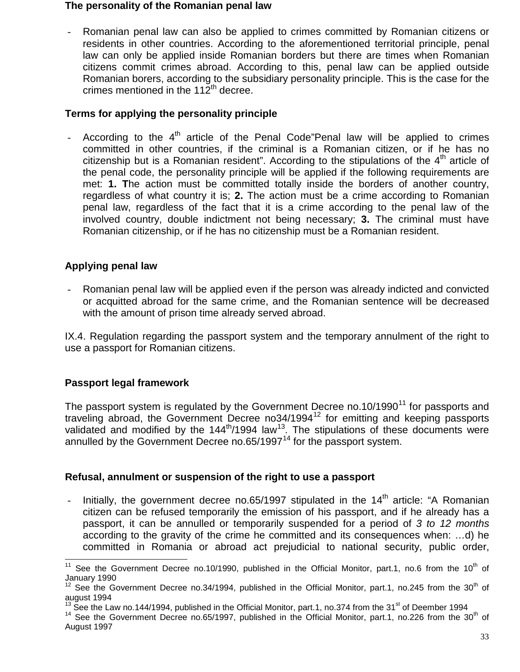#### **The personality of the Romanian penal law**

- Romanian penal law can also be applied to crimes committed by Romanian citizens or residents in other countries. According to the aforementioned territorial principle, penal law can only be applied inside Romanian borders but there are times when Romanian citizens commit crimes abroad. According to this, penal law can be applied outside Romanian borers, according to the subsidiary personality principle. This is the case for the crimes mentioned in the  $112^{th}$  decree.

## **Terms for applying the personality principle**

According to the  $4<sup>th</sup>$  article of the Penal Code"Penal law will be applied to crimes committed in other countries, if the criminal is a Romanian citizen, or if he has no citizenship but is a Romanian resident". According to the stipulations of the  $4<sup>th</sup>$  article of the penal code, the personality principle will be applied if the following requirements are met: **1. T**he action must be committed totally inside the borders of another country, regardless of what country it is; **2.** The action must be a crime according to Romanian penal law, regardless of the fact that it is a crime according to the penal law of the involved country, double indictment not being necessary; **3.** The criminal must have Romanian citizenship, or if he has no citizenship must be a Romanian resident.

## **Applying penal law**

Romanian penal law will be applied even if the person was already indicted and convicted or acquitted abroad for the same crime, and the Romanian sentence will be decreased with the amount of prison time already served abroad.

IX.4. Regulation regarding the passport system and the temporary annulment of the right to use a passport for Romanian citizens.

## **Passport legal framework**

The passport system is regulated by the Government Decree no.10/1990 $^{11}$  $^{11}$  $^{11}$  for passports and traveling abroad, the Government Decree no34/1994[12](#page-33-0) for emitting and keeping passports validated and modified by the  $144<sup>th</sup>/1994$  law<sup>13</sup>. The stipulations of these documents were annulled by the Government Decree no.65/1997<sup>[14](#page-33-0)</sup> for the passport system.

## **Refusal, annulment or suspension of the right to use a passport**

Initially, the government decree no.65/1997 stipulated in the  $14<sup>th</sup>$  article: "A Romanian citizen can be refused temporarily the emission of his passport, and if he already has a passport, it can be annulled or temporarily suspended for a period of *3 to 12 months* according to the gravity of the crime he committed and its consequences when: …d) he committed in Romania or abroad act prejudicial to national security, public order,

<span id="page-33-0"></span>See the Government Decree no.10/1990, published in the Official Monitor, part.1, no.6 from the  $10<sup>th</sup>$  of January 1990

<sup>&</sup>lt;sup>12</sup> See the Government Decree no.34/1994, published in the Official Monitor, part.1, no.245 from the 30<sup>th</sup> of august 1994

See the Law no.144/1994, published in the Official Monitor, part.1, no.374 from the 31<sup>st</sup> of Deember 1994

<sup>&</sup>lt;sup>14</sup> See the Government Decree no.65/1997, published in the Official Monitor, part.1, no.226 from the 30<sup>th</sup> of August 1997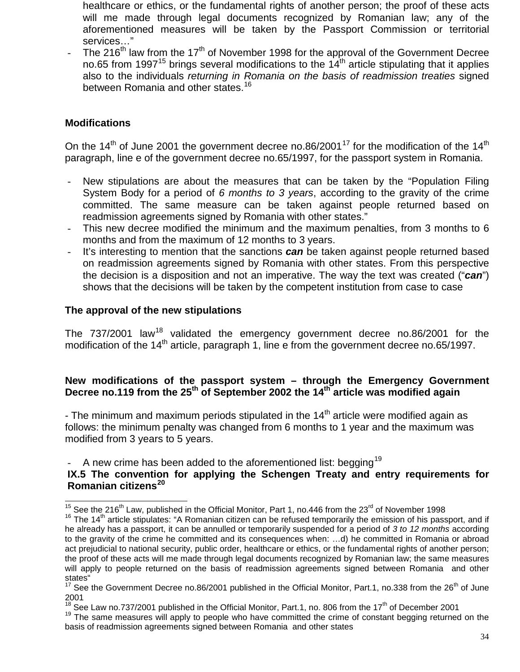healthcare or ethics, or the fundamental rights of another person; the proof of these acts will me made through legal documents recognized by Romanian law; any of the aforementioned measures will be taken by the Passport Commission or territorial services…"

The 216<sup>th</sup> law from the 17<sup>th</sup> of November 1998 for the approval of the Government Decree no.65 from 1997<sup>[15](#page-34-0)</sup> brings several modifications to the  $14<sup>th</sup>$  article stipulating that it applies also to the individuals *returning in Romania on the basis of readmission treaties* signed between Romania and other states.<sup>[16](#page-34-1)</sup>

## **Modifications**

On the 14<sup>th</sup> of June 2001 the government decree no.86/2001<sup>[17](#page-34-2)</sup> for the modification of the 14<sup>th</sup> paragraph, line e of the government decree no.65/1997, for the passport system in Romania.

- New stipulations are about the measures that can be taken by the "Population Filing System Body for a period of *6 months to 3 years*, according to the gravity of the crime committed. The same measure can be taken against people returned based on readmission agreements signed by Romania with other states."
- This new decree modified the minimum and the maximum penalties, from 3 months to 6 months and from the maximum of 12 months to 3 years.
- It's interesting to mention that the sanctions *can* be taken against people returned based on readmission agreements signed by Romania with other states. From this perspective the decision is a disposition and not an imperative. The way the text was created ("*can*") shows that the decisions will be taken by the competent institution from case to case

#### **The approval of the new stipulations**

The 737/2001 law<sup>[18](#page-34-3)</sup> validated the emergency government decree no.86/2001 for the modification of the 14<sup>th</sup> article, paragraph 1, line e from the government decree no.65/1997.

## **New modifications of the passport system – through the Emergency Government Decree no.119 from the 25th of September 2002 the 14th article was modified again**

- The minimum and maximum periods stipulated in the  $14<sup>th</sup>$  article were modified again as follows: the minimum penalty was changed from 6 months to 1 year and the maximum was modified from 3 years to 5 years.

A new crime has been added to the aforementioned list: begging<sup>[19](#page-34-4)</sup>

#### **IX.5 The convention for applying the Schengen Treaty and entry requirements for Romanian citizens[20](#page-34-3)**

<span id="page-34-0"></span><sup>&</sup>lt;sup>15</sup> See the 216<sup>th</sup> Law, published in the Official Monitor, Part 1, no.446 from the 23<sup>rd</sup> of November 1998

<span id="page-34-1"></span><sup>&</sup>lt;sup>16</sup> The 14<sup>th</sup> article stipulates: "A Romanian citizen can be refused temporarily the emission of his passport, and if he already has a passport, it can be annulled or temporarily suspended for a period of *3 to 12 months* according to the gravity of the crime he committed and its consequences when: …d) he committed in Romania or abroad act prejudicial to national security, public order, healthcare or ethics, or the fundamental rights of another person; the proof of these acts will me made through legal documents recognized by Romanian law; the same measures will apply to people returned on the basis of readmission agreements signed between Romania and other states"

<span id="page-34-2"></span> $17$  See the Government Decree no.86/2001 published in the Official Monitor, Part.1, no.338 from the 26<sup>th</sup> of June 2001

See Law no.737/2001 published in the Official Monitor, Part.1, no. 806 from the 17<sup>th</sup> of December 2001

<span id="page-34-4"></span><span id="page-34-3"></span><sup>&</sup>lt;sup>19</sup> The same measures will apply to people who have committed the crime of constant begging returned on the basis of readmission agreements signed between Romania and other states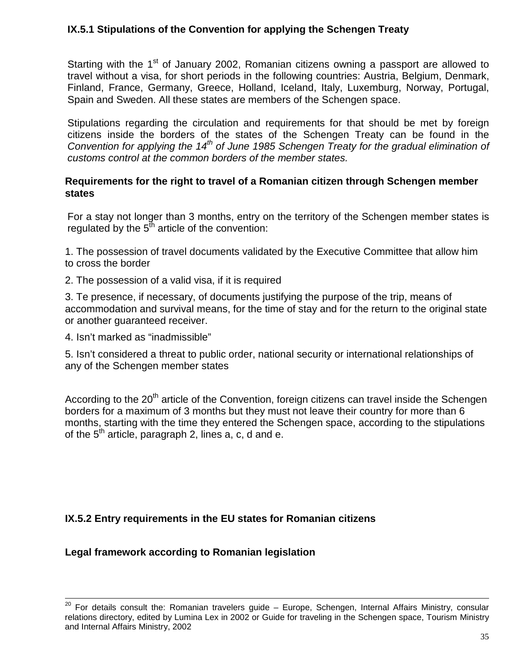## **IX.5.1 Stipulations of the Convention for applying the Schengen Treaty**

Starting with the  $1<sup>st</sup>$  of January 2002, Romanian citizens owning a passport are allowed to travel without a visa, for short periods in the following countries: Austria, Belgium, Denmark, Finland, France, Germany, Greece, Holland, Iceland, Italy, Luxemburg, Norway, Portugal, Spain and Sweden. All these states are members of the Schengen space.

Stipulations regarding the circulation and requirements for that should be met by foreign citizens inside the borders of the states of the Schengen Treaty can be found in the *Convention for applying the 14th of June 1985 Schengen Treaty for the gradual elimination of customs control at the common borders of the member states.*

#### **Requirements for the right to travel of a Romanian citizen through Schengen member states**

For a stay not longer than 3 months, entry on the territory of the Schengen member states is regulated by the  $5<sup>th</sup>$  article of the convention:

1. The possession of travel documents validated by the Executive Committee that allow him to cross the border

2. The possession of a valid visa, if it is required

3. Te presence, if necessary, of documents justifying the purpose of the trip, means of accommodation and survival means, for the time of stay and for the return to the original state or another guaranteed receiver.

4. Isn't marked as "inadmissible"

5. Isn't considered a threat to public order, national security or international relationships of any of the Schengen member states

According to the 20<sup>th</sup> article of the Convention, foreign citizens can travel inside the Schengen borders for a maximum of 3 months but they must not leave their country for more than 6 months, starting with the time they entered the Schengen space, according to the stipulations of the  $5<sup>th</sup>$  article, paragraph 2, lines a, c, d and e.

## **IX.5.2 Entry requirements in the EU states for Romanian citizens**

#### **Legal framework according to Romanian legislation**

For details consult the: Romanian travelers guide – Europe, Schengen, Internal Affairs Ministry, consular relations directory, edited by Lumina Lex in 2002 or Guide for traveling in the Schengen space, Tourism Ministry and Internal Affairs Ministry, 2002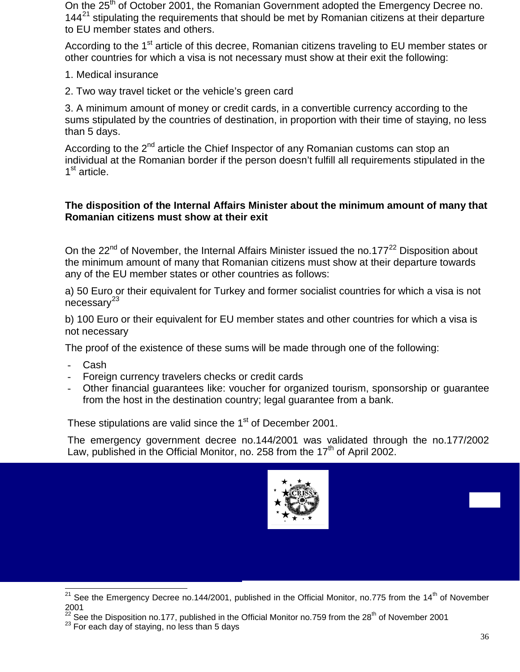On the 25<sup>th</sup> of October 2001, the Romanian Government adopted the Emergency Decree no. 144<sup>[21](#page-36-0)</sup> stipulating the requirements that should be met by Romanian citizens at their departure to EU member states and others.

According to the  $1<sup>st</sup>$  article of this decree, Romanian citizens traveling to EU member states or other countries for which a visa is not necessary must show at their exit the following:

- 1. Medical insurance
- 2. Two way travel ticket or the vehicle's green card

3. A minimum amount of money or credit cards, in a convertible currency according to the sums stipulated by the countries of destination, in proportion with their time of staying, no less than 5 days.

According to the 2<sup>nd</sup> article the Chief Inspector of any Romanian customs can stop an individual at the Romanian border if the person doesn't fulfill all requirements stipulated in the 1<sup>st</sup> article.

## **The disposition of the Internal Affairs Minister about the minimum amount of many that Romanian citizens must show at their exit**

On the [22](#page-36-1)<sup>nd</sup> of November, the Internal Affairs Minister issued the no.177<sup>22</sup> Disposition about the minimum amount of many that Romanian citizens must show at their departure towards any of the EU member states or other countries as follows:

a) 50 Euro or their equivalent for Turkey and former socialist countries for which a visa is not necessary<sup>[23](#page-36-2)</sup>

b) 100 Euro or their equivalent for EU member states and other countries for which a visa is not necessary

The proof of the existence of these sums will be made through one of the following:

- **Cash**
- Foreign currency travelers checks or credit cards
- Other financial guarantees like: voucher for organized tourism, sponsorship or guarantee from the host in the destination country; legal guarantee from a bank.

These stipulations are valid since the 1<sup>st</sup> of December 2001.

The emergency government decree no.144/2001 was validated through the no.177/2002 Law, published in the Official Monitor, no. 258 from the 17<sup>th</sup> of April 2002.





<span id="page-36-0"></span>See the Emergency Decree no.144/2001, published in the Official Monitor, no.775 from the 14<sup>th</sup> of November 2001

 $\frac{22}{1}$  See the Disposition no.177, published in the Official Monitor no.759 from the 28<sup>th</sup> of November 2001

<span id="page-36-2"></span><span id="page-36-1"></span> $23$  For each day of staying, no less than 5 days